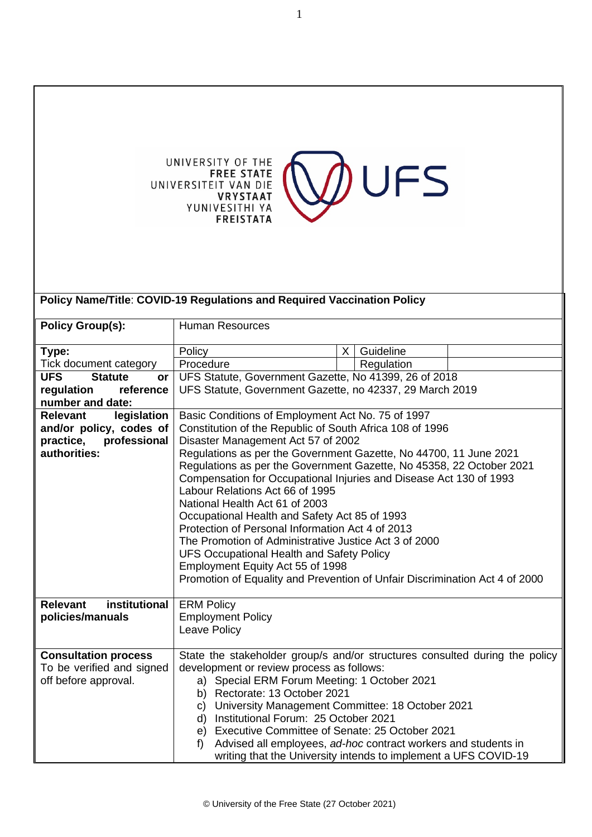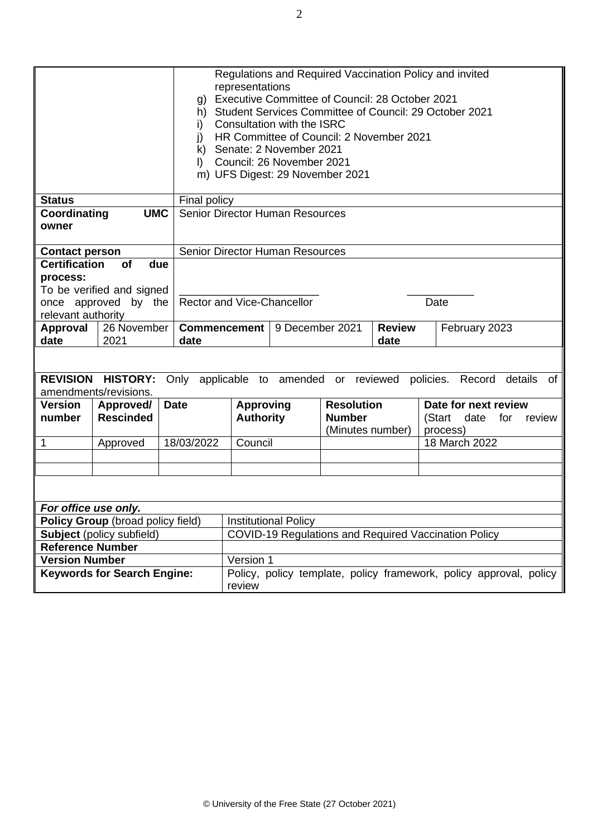|                                                                                             |                                   | i)<br>j)<br>k)<br>$\mathbf{D}$ | Regulations and Required Vaccination Policy and invited<br>representations<br>g) Executive Committee of Council: 28 October 2021<br>h) Student Services Committee of Council: 29 October 2021<br>Consultation with the ISRC<br>HR Committee of Council: 2 November 2021<br>Senate: 2 November 2021<br>Council: 26 November 2021<br>m) UFS Digest: 29 November 2021 |                                        |                                   |    |  |                                 |
|---------------------------------------------------------------------------------------------|-----------------------------------|--------------------------------|--------------------------------------------------------------------------------------------------------------------------------------------------------------------------------------------------------------------------------------------------------------------------------------------------------------------------------------------------------------------|----------------------------------------|-----------------------------------|----|--|---------------------------------|
| <b>Status</b>                                                                               |                                   | Final policy                   |                                                                                                                                                                                                                                                                                                                                                                    |                                        |                                   |    |  |                                 |
| Coordinating                                                                                | <b>UMC</b>                        |                                |                                                                                                                                                                                                                                                                                                                                                                    | <b>Senior Director Human Resources</b> |                                   |    |  |                                 |
| owner                                                                                       |                                   |                                |                                                                                                                                                                                                                                                                                                                                                                    |                                        |                                   |    |  |                                 |
|                                                                                             |                                   |                                |                                                                                                                                                                                                                                                                                                                                                                    |                                        |                                   |    |  |                                 |
| <b>Contact person</b>                                                                       |                                   |                                |                                                                                                                                                                                                                                                                                                                                                                    | <b>Senior Director Human Resources</b> |                                   |    |  |                                 |
| <b>Certification</b>                                                                        | of<br>due                         |                                |                                                                                                                                                                                                                                                                                                                                                                    |                                        |                                   |    |  |                                 |
| process:                                                                                    | To be verified and signed         |                                |                                                                                                                                                                                                                                                                                                                                                                    |                                        |                                   |    |  |                                 |
|                                                                                             | once approved by the              |                                | Rector and Vice-Chancellor                                                                                                                                                                                                                                                                                                                                         |                                        |                                   |    |  |                                 |
| relevant authority                                                                          |                                   |                                | Date                                                                                                                                                                                                                                                                                                                                                               |                                        |                                   |    |  |                                 |
| <b>Approval</b>                                                                             | 26 November                       |                                | 9 December 2021<br><b>Commencement</b>                                                                                                                                                                                                                                                                                                                             |                                        | <b>Review</b><br>February 2023    |    |  |                                 |
| date                                                                                        | 2021                              | date                           |                                                                                                                                                                                                                                                                                                                                                                    |                                        | date                              |    |  |                                 |
|                                                                                             |                                   |                                |                                                                                                                                                                                                                                                                                                                                                                    |                                        |                                   |    |  |                                 |
| <b>REVISION HISTORY:</b><br>Only applicable to amended or reviewed policies. Record details |                                   |                                |                                                                                                                                                                                                                                                                                                                                                                    |                                        |                                   | of |  |                                 |
|                                                                                             | amendments/revisions.             |                                |                                                                                                                                                                                                                                                                                                                                                                    |                                        |                                   |    |  |                                 |
| <b>Version</b>                                                                              | Approved/                         | <b>Date</b>                    | <b>Approving</b>                                                                                                                                                                                                                                                                                                                                                   |                                        | <b>Resolution</b>                 |    |  | Date for next review            |
| number                                                                                      | <b>Rescinded</b>                  |                                | <b>Authority</b>                                                                                                                                                                                                                                                                                                                                                   |                                        | <b>Number</b><br>(Minutes number) |    |  | (Start<br>date<br>for<br>review |
| 1                                                                                           | Approved                          | 18/03/2022                     | Council                                                                                                                                                                                                                                                                                                                                                            |                                        |                                   |    |  | process)<br>18 March 2022       |
|                                                                                             |                                   |                                |                                                                                                                                                                                                                                                                                                                                                                    |                                        |                                   |    |  |                                 |
|                                                                                             |                                   |                                |                                                                                                                                                                                                                                                                                                                                                                    |                                        |                                   |    |  |                                 |
|                                                                                             |                                   |                                |                                                                                                                                                                                                                                                                                                                                                                    |                                        |                                   |    |  |                                 |
|                                                                                             |                                   |                                |                                                                                                                                                                                                                                                                                                                                                                    |                                        |                                   |    |  |                                 |
| For office use only.                                                                        |                                   |                                |                                                                                                                                                                                                                                                                                                                                                                    |                                        |                                   |    |  |                                 |
|                                                                                             | Policy Group (broad policy field) | <b>Institutional Policy</b>    |                                                                                                                                                                                                                                                                                                                                                                    |                                        |                                   |    |  |                                 |
| Subject (policy subfield)                                                                   |                                   |                                | <b>COVID-19 Regulations and Required Vaccination Policy</b>                                                                                                                                                                                                                                                                                                        |                                        |                                   |    |  |                                 |
| <b>Reference Number</b>                                                                     |                                   |                                |                                                                                                                                                                                                                                                                                                                                                                    |                                        |                                   |    |  |                                 |
| <b>Version Number</b>                                                                       |                                   |                                | Version 1                                                                                                                                                                                                                                                                                                                                                          |                                        |                                   |    |  |                                 |
| <b>Keywords for Search Engine:</b>                                                          |                                   |                                | Policy, policy template, policy framework, policy approval, policy<br>review                                                                                                                                                                                                                                                                                       |                                        |                                   |    |  |                                 |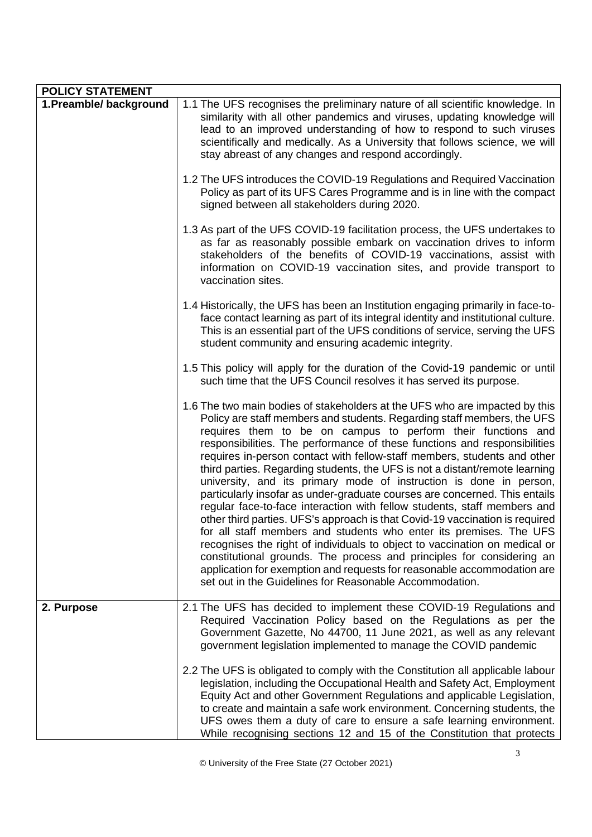| <b>POLICY STATEMENT</b> |                                                                                                                                                                                                                                                                                                                                                                                                                                                                                                                                                                                                                                                                                                                                                                                                                                                                                                                                                                                                                                                                                                                                                   |
|-------------------------|---------------------------------------------------------------------------------------------------------------------------------------------------------------------------------------------------------------------------------------------------------------------------------------------------------------------------------------------------------------------------------------------------------------------------------------------------------------------------------------------------------------------------------------------------------------------------------------------------------------------------------------------------------------------------------------------------------------------------------------------------------------------------------------------------------------------------------------------------------------------------------------------------------------------------------------------------------------------------------------------------------------------------------------------------------------------------------------------------------------------------------------------------|
| 1. Preamble/ background | 1.1 The UFS recognises the preliminary nature of all scientific knowledge. In<br>similarity with all other pandemics and viruses, updating knowledge will<br>lead to an improved understanding of how to respond to such viruses<br>scientifically and medically. As a University that follows science, we will<br>stay abreast of any changes and respond accordingly.                                                                                                                                                                                                                                                                                                                                                                                                                                                                                                                                                                                                                                                                                                                                                                           |
|                         | 1.2 The UFS introduces the COVID-19 Regulations and Required Vaccination<br>Policy as part of its UFS Cares Programme and is in line with the compact<br>signed between all stakeholders during 2020.                                                                                                                                                                                                                                                                                                                                                                                                                                                                                                                                                                                                                                                                                                                                                                                                                                                                                                                                             |
|                         | 1.3 As part of the UFS COVID-19 facilitation process, the UFS undertakes to<br>as far as reasonably possible embark on vaccination drives to inform<br>stakeholders of the benefits of COVID-19 vaccinations, assist with<br>information on COVID-19 vaccination sites, and provide transport to<br>vaccination sites.                                                                                                                                                                                                                                                                                                                                                                                                                                                                                                                                                                                                                                                                                                                                                                                                                            |
|                         | 1.4 Historically, the UFS has been an Institution engaging primarily in face-to-<br>face contact learning as part of its integral identity and institutional culture.<br>This is an essential part of the UFS conditions of service, serving the UFS<br>student community and ensuring academic integrity.                                                                                                                                                                                                                                                                                                                                                                                                                                                                                                                                                                                                                                                                                                                                                                                                                                        |
|                         | 1.5 This policy will apply for the duration of the Covid-19 pandemic or until<br>such time that the UFS Council resolves it has served its purpose.                                                                                                                                                                                                                                                                                                                                                                                                                                                                                                                                                                                                                                                                                                                                                                                                                                                                                                                                                                                               |
|                         | 1.6 The two main bodies of stakeholders at the UFS who are impacted by this<br>Policy are staff members and students. Regarding staff members, the UFS<br>requires them to be on campus to perform their functions and<br>responsibilities. The performance of these functions and responsibilities<br>requires in-person contact with fellow-staff members, students and other<br>third parties. Regarding students, the UFS is not a distant/remote learning<br>university, and its primary mode of instruction is done in person,<br>particularly insofar as under-graduate courses are concerned. This entails<br>regular face-to-face interaction with fellow students, staff members and<br>other third parties. UFS's approach is that Covid-19 vaccination is required<br>for all staff members and students who enter its premises. The UFS<br>recognises the right of individuals to object to vaccination on medical or<br>constitutional grounds. The process and principles for considering an<br>application for exemption and requests for reasonable accommodation are<br>set out in the Guidelines for Reasonable Accommodation. |
| 2. Purpose              | 2.1 The UFS has decided to implement these COVID-19 Regulations and<br>Required Vaccination Policy based on the Regulations as per the<br>Government Gazette, No 44700, 11 June 2021, as well as any relevant<br>government legislation implemented to manage the COVID pandemic                                                                                                                                                                                                                                                                                                                                                                                                                                                                                                                                                                                                                                                                                                                                                                                                                                                                  |
|                         | 2.2 The UFS is obligated to comply with the Constitution all applicable labour<br>legislation, including the Occupational Health and Safety Act, Employment<br>Equity Act and other Government Regulations and applicable Legislation,<br>to create and maintain a safe work environment. Concerning students, the<br>UFS owes them a duty of care to ensure a safe learning environment.<br>While recognising sections 12 and 15 of the Constitution that protects                                                                                                                                                                                                                                                                                                                                                                                                                                                                                                                                                                                                                                                                               |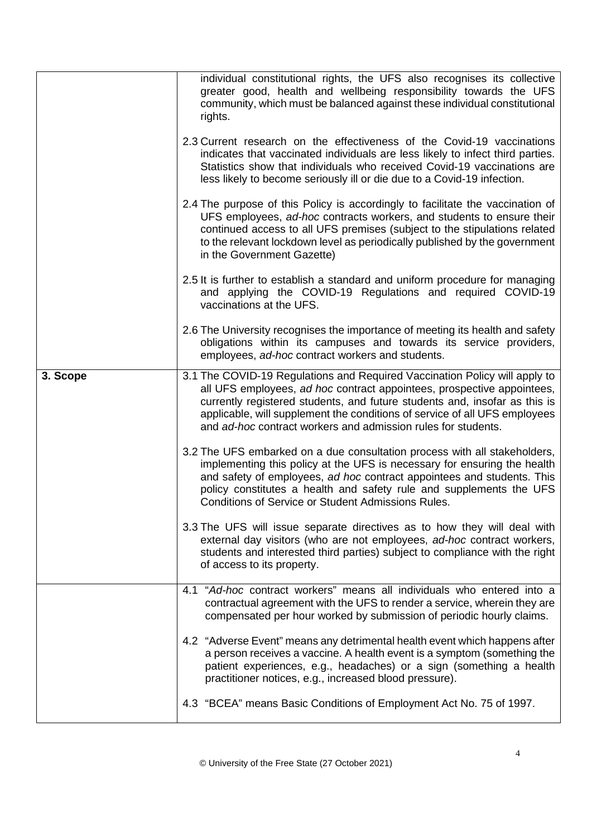|          | individual constitutional rights, the UFS also recognises its collective<br>greater good, health and wellbeing responsibility towards the UFS<br>community, which must be balanced against these individual constitutional<br>rights.<br>2.3 Current research on the effectiveness of the Covid-19 vaccinations                                                                   |
|----------|-----------------------------------------------------------------------------------------------------------------------------------------------------------------------------------------------------------------------------------------------------------------------------------------------------------------------------------------------------------------------------------|
|          | indicates that vaccinated individuals are less likely to infect third parties.<br>Statistics show that individuals who received Covid-19 vaccinations are<br>less likely to become seriously ill or die due to a Covid-19 infection.                                                                                                                                              |
|          | 2.4 The purpose of this Policy is accordingly to facilitate the vaccination of<br>UFS employees, ad-hoc contracts workers, and students to ensure their<br>continued access to all UFS premises (subject to the stipulations related<br>to the relevant lockdown level as periodically published by the government<br>in the Government Gazette)                                  |
|          | 2.5 It is further to establish a standard and uniform procedure for managing<br>and applying the COVID-19 Regulations and required COVID-19<br>vaccinations at the UFS.                                                                                                                                                                                                           |
|          | 2.6 The University recognises the importance of meeting its health and safety<br>obligations within its campuses and towards its service providers,<br>employees, ad-hoc contract workers and students.                                                                                                                                                                           |
| 3. Scope | 3.1 The COVID-19 Regulations and Required Vaccination Policy will apply to<br>all UFS employees, ad hoc contract appointees, prospective appointees,<br>currently registered students, and future students and, insofar as this is<br>applicable, will supplement the conditions of service of all UFS employees<br>and ad-hoc contract workers and admission rules for students. |
|          | 3.2 The UFS embarked on a due consultation process with all stakeholders,<br>implementing this policy at the UFS is necessary for ensuring the health<br>and safety of employees, ad hoc contract appointees and students. This<br>policy constitutes a health and safety rule and supplements the UFS<br><b>Conditions of Service or Student Admissions Rules.</b>               |
|          | 3.3 The UFS will issue separate directives as to how they will deal with<br>external day visitors (who are not employees, ad-hoc contract workers,<br>students and interested third parties) subject to compliance with the right<br>of access to its property.                                                                                                                   |
|          | 4.1 "Ad-hoc contract workers" means all individuals who entered into a<br>contractual agreement with the UFS to render a service, wherein they are<br>compensated per hour worked by submission of periodic hourly claims.                                                                                                                                                        |
|          | 4.2 "Adverse Event" means any detrimental health event which happens after<br>a person receives a vaccine. A health event is a symptom (something the<br>patient experiences, e.g., headaches) or a sign (something a health<br>practitioner notices, e.g., increased blood pressure).                                                                                            |
|          | 4.3 "BCEA" means Basic Conditions of Employment Act No. 75 of 1997.                                                                                                                                                                                                                                                                                                               |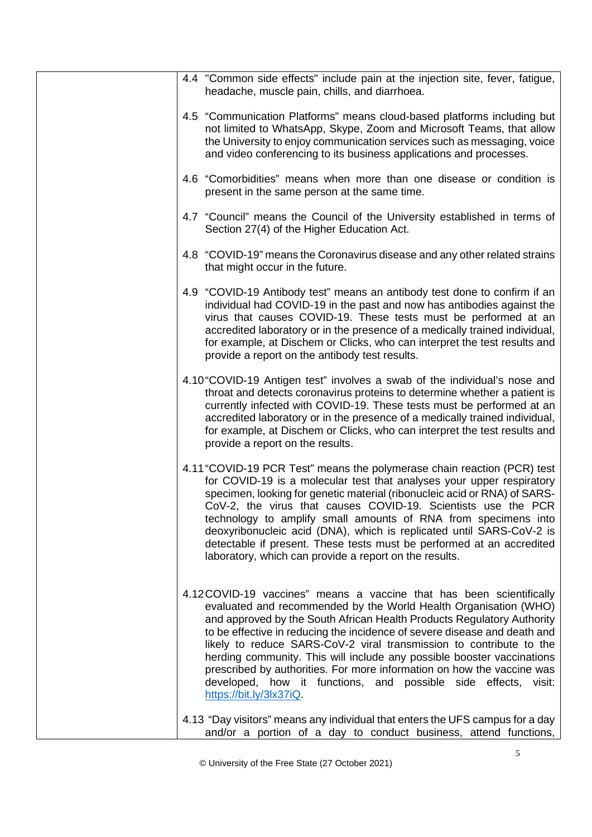| 4.4 "Common side effects" include pain at the injection site, fever, fatigue,<br>headache, muscle pain, chills, and diarrhoea.                                                                                                                                                                                                                                                                                                                                                                                                                                                                                         |
|------------------------------------------------------------------------------------------------------------------------------------------------------------------------------------------------------------------------------------------------------------------------------------------------------------------------------------------------------------------------------------------------------------------------------------------------------------------------------------------------------------------------------------------------------------------------------------------------------------------------|
| 4.5 "Communication Platforms" means cloud-based platforms including but<br>not limited to WhatsApp, Skype, Zoom and Microsoft Teams, that allow<br>the University to enjoy communication services such as messaging, voice<br>and video conferencing to its business applications and processes.                                                                                                                                                                                                                                                                                                                       |
| 4.6 "Comorbidities" means when more than one disease or condition is<br>present in the same person at the same time.                                                                                                                                                                                                                                                                                                                                                                                                                                                                                                   |
| 4.7 "Council" means the Council of the University established in terms of<br>Section 27(4) of the Higher Education Act.                                                                                                                                                                                                                                                                                                                                                                                                                                                                                                |
| 4.8 "COVID-19" means the Coronavirus disease and any other related strains<br>that might occur in the future.                                                                                                                                                                                                                                                                                                                                                                                                                                                                                                          |
| 4.9 "COVID-19 Antibody test" means an antibody test done to confirm if an<br>individual had COVID-19 in the past and now has antibodies against the<br>virus that causes COVID-19. These tests must be performed at an<br>accredited laboratory or in the presence of a medically trained individual,<br>for example, at Dischem or Clicks, who can interpret the test results and<br>provide a report on the antibody test results.                                                                                                                                                                                   |
| 4.10 "COVID-19 Antigen test" involves a swab of the individual's nose and<br>throat and detects coronavirus proteins to determine whether a patient is<br>currently infected with COVID-19. These tests must be performed at an<br>accredited laboratory or in the presence of a medically trained individual,<br>for example, at Dischem or Clicks, who can interpret the test results and<br>provide a report on the results.                                                                                                                                                                                        |
| 4.11 "COVID-19 PCR Test" means the polymerase chain reaction (PCR) test<br>for COVID-19 is a molecular test that analyses your upper respiratory<br>specimen, looking for genetic material (ribonucleic acid or RNA) of SARS-<br>CoV-2, the virus that causes COVID-19. Scientists use the PCR<br>technology to amplify small amounts of RNA from specimens into<br>deoxyribonucleic acid (DNA), which is replicated until SARS-CoV-2 is<br>detectable if present. These tests must be performed at an accredited<br>laboratory, which can provide a report on the results.                                            |
| 4.12 COVID-19 vaccines" means a vaccine that has been scientifically<br>evaluated and recommended by the World Health Organisation (WHO)<br>and approved by the South African Health Products Regulatory Authority<br>to be effective in reducing the incidence of severe disease and death and<br>likely to reduce SARS-CoV-2 viral transmission to contribute to the<br>herding community. This will include any possible booster vaccinations<br>prescribed by authorities. For more information on how the vaccine was<br>developed, how it functions, and possible side effects, visit:<br>https://bit.ly/3lx37iQ |
| 4.13 "Day visitors" means any individual that enters the UFS campus for a day<br>and/or a portion of a day to conduct business, attend functions,                                                                                                                                                                                                                                                                                                                                                                                                                                                                      |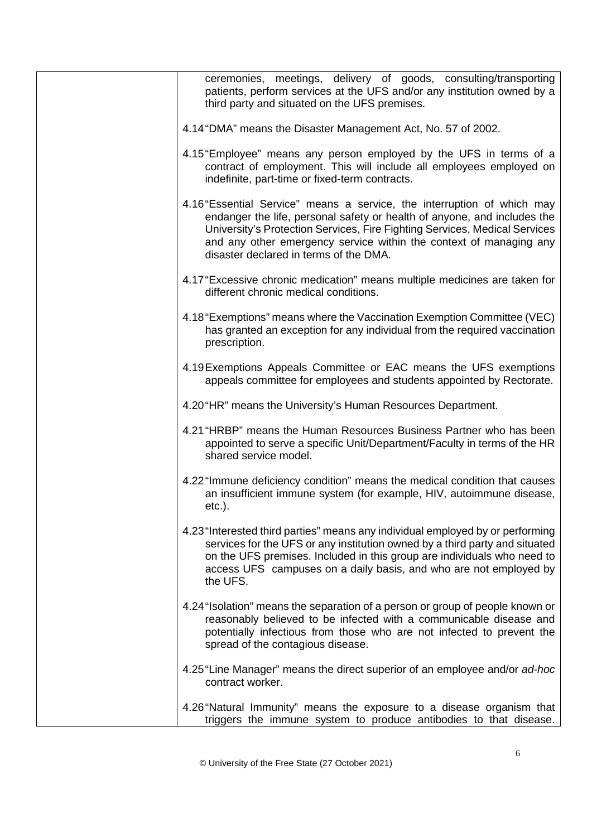| ceremonies, meetings, delivery of goods, consulting/transporting                                                                                                                                                                                                                                                                                  |
|---------------------------------------------------------------------------------------------------------------------------------------------------------------------------------------------------------------------------------------------------------------------------------------------------------------------------------------------------|
| patients, perform services at the UFS and/or any institution owned by a<br>third party and situated on the UFS premises.                                                                                                                                                                                                                          |
| 4.14 "DMA" means the Disaster Management Act, No. 57 of 2002.                                                                                                                                                                                                                                                                                     |
| 4.15 "Employee" means any person employed by the UFS in terms of a<br>contract of employment. This will include all employees employed on<br>indefinite, part-time or fixed-term contracts.                                                                                                                                                       |
| 4.16 "Essential Service" means a service, the interruption of which may<br>endanger the life, personal safety or health of anyone, and includes the<br>University's Protection Services, Fire Fighting Services, Medical Services<br>and any other emergency service within the context of managing any<br>disaster declared in terms of the DMA. |
| 4.17 "Excessive chronic medication" means multiple medicines are taken for<br>different chronic medical conditions.                                                                                                                                                                                                                               |
| 4.18 "Exemptions" means where the Vaccination Exemption Committee (VEC)<br>has granted an exception for any individual from the required vaccination<br>prescription.                                                                                                                                                                             |
| 4.19 Exemptions Appeals Committee or EAC means the UFS exemptions<br>appeals committee for employees and students appointed by Rectorate.                                                                                                                                                                                                         |
| 4.20 "HR" means the University's Human Resources Department.                                                                                                                                                                                                                                                                                      |
| 4.21 "HRBP" means the Human Resources Business Partner who has been<br>appointed to serve a specific Unit/Department/Faculty in terms of the HR<br>shared service model.                                                                                                                                                                          |
| 4.22 "Immune deficiency condition" means the medical condition that causes<br>an insufficient immune system (for example, HIV, autoimmune disease,<br>$etc.$ ).                                                                                                                                                                                   |
| 4.23 "Interested third parties" means any individual employed by or performing<br>services for the UFS or any institution owned by a third party and situated<br>on the UFS premises. Included in this group are individuals who need to<br>access UFS campuses on a daily basis, and who are not employed by<br>the UFS.                         |
| 4.24 "Isolation" means the separation of a person or group of people known or<br>reasonably believed to be infected with a communicable disease and<br>potentially infectious from those who are not infected to prevent the<br>spread of the contagious disease.                                                                                 |
| 4.25 "Line Manager" means the direct superior of an employee and/or ad-hoc<br>contract worker.                                                                                                                                                                                                                                                    |
| 4.26 "Natural Immunity" means the exposure to a disease organism that<br>triggers the immune system to produce antibodies to that disease.                                                                                                                                                                                                        |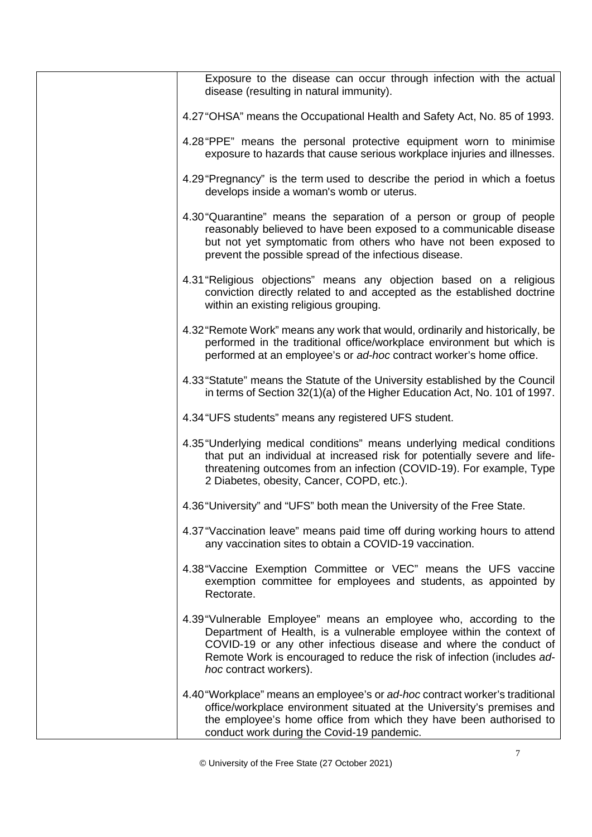| Exposure to the disease can occur through infection with the actual<br>disease (resulting in natural immunity).                                                                                                                                                                                                      |
|----------------------------------------------------------------------------------------------------------------------------------------------------------------------------------------------------------------------------------------------------------------------------------------------------------------------|
| 4.27 "OHSA" means the Occupational Health and Safety Act, No. 85 of 1993.                                                                                                                                                                                                                                            |
| 4.28 "PPE" means the personal protective equipment worn to minimise<br>exposure to hazards that cause serious workplace injuries and illnesses.                                                                                                                                                                      |
| 4.29 "Pregnancy" is the term used to describe the period in which a foetus<br>develops inside a woman's womb or uterus.                                                                                                                                                                                              |
| 4.30 "Quarantine" means the separation of a person or group of people<br>reasonably believed to have been exposed to a communicable disease<br>but not yet symptomatic from others who have not been exposed to<br>prevent the possible spread of the infectious disease.                                            |
| 4.31 "Religious objections" means any objection based on a religious<br>conviction directly related to and accepted as the established doctrine<br>within an existing religious grouping.                                                                                                                            |
| 4.32 "Remote Work" means any work that would, ordinarily and historically, be<br>performed in the traditional office/workplace environment but which is<br>performed at an employee's or ad-hoc contract worker's home office.                                                                                       |
| 4.33 "Statute" means the Statute of the University established by the Council<br>in terms of Section 32(1)(a) of the Higher Education Act, No. 101 of 1997.                                                                                                                                                          |
| 4.34 "UFS students" means any registered UFS student.                                                                                                                                                                                                                                                                |
| 4.35 "Underlying medical conditions" means underlying medical conditions<br>that put an individual at increased risk for potentially severe and life-<br>threatening outcomes from an infection (COVID-19). For example, Type<br>2 Diabetes, obesity, Cancer, COPD, etc.).                                           |
| 4.36 "University" and "UFS" both mean the University of the Free State.                                                                                                                                                                                                                                              |
| 4.37 "Vaccination leave" means paid time off during working hours to attend<br>any vaccination sites to obtain a COVID-19 vaccination.                                                                                                                                                                               |
| 4.38 "Vaccine Exemption Committee or VEC" means the UFS vaccine<br>exemption committee for employees and students, as appointed by<br>Rectorate.                                                                                                                                                                     |
| 4.39 "Vulnerable Employee" means an employee who, according to the<br>Department of Health, is a vulnerable employee within the context of<br>COVID-19 or any other infectious disease and where the conduct of<br>Remote Work is encouraged to reduce the risk of infection (includes ad-<br>hoc contract workers). |
| 4.40 "Workplace" means an employee's or ad-hoc contract worker's traditional<br>office/workplace environment situated at the University's premises and<br>the employee's home office from which they have been authorised to<br>conduct work during the Covid-19 pandemic.                                           |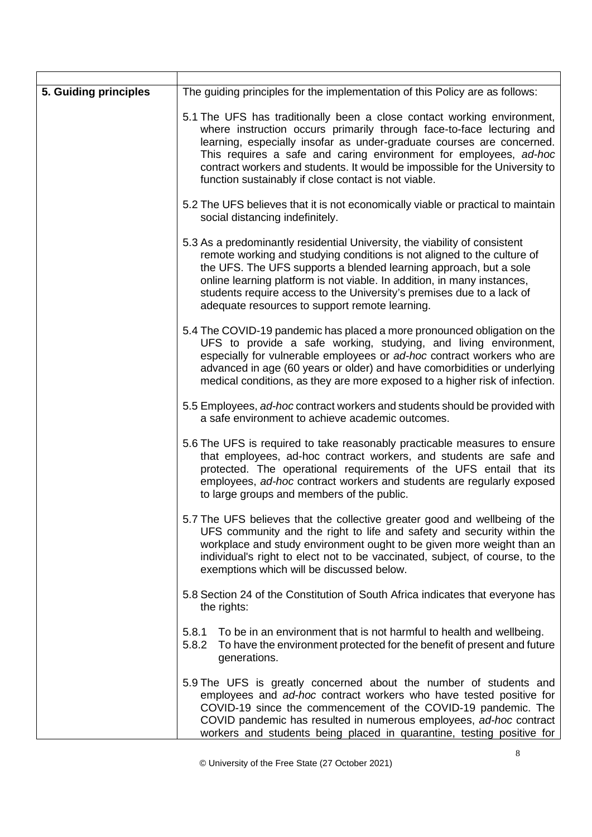| 5. Guiding principles | The quiding principles for the implementation of this Policy are as follows:                                                                                                                                                                                                                                                                                                                                                          |
|-----------------------|---------------------------------------------------------------------------------------------------------------------------------------------------------------------------------------------------------------------------------------------------------------------------------------------------------------------------------------------------------------------------------------------------------------------------------------|
|                       | 5.1 The UFS has traditionally been a close contact working environment,<br>where instruction occurs primarily through face-to-face lecturing and<br>learning, especially insofar as under-graduate courses are concerned.<br>This requires a safe and caring environment for employees, ad-hoc<br>contract workers and students. It would be impossible for the University to<br>function sustainably if close contact is not viable. |
|                       | 5.2 The UFS believes that it is not economically viable or practical to maintain<br>social distancing indefinitely.                                                                                                                                                                                                                                                                                                                   |
|                       | 5.3 As a predominantly residential University, the viability of consistent<br>remote working and studying conditions is not aligned to the culture of<br>the UFS. The UFS supports a blended learning approach, but a sole<br>online learning platform is not viable. In addition, in many instances,<br>students require access to the University's premises due to a lack of<br>adequate resources to support remote learning.      |
|                       | 5.4 The COVID-19 pandemic has placed a more pronounced obligation on the<br>UFS to provide a safe working, studying, and living environment,<br>especially for vulnerable employees or ad-hoc contract workers who are<br>advanced in age (60 years or older) and have comorbidities or underlying<br>medical conditions, as they are more exposed to a higher risk of infection.                                                     |
|                       | 5.5 Employees, ad-hoc contract workers and students should be provided with<br>a safe environment to achieve academic outcomes.                                                                                                                                                                                                                                                                                                       |
|                       | 5.6 The UFS is required to take reasonably practicable measures to ensure<br>that employees, ad-hoc contract workers, and students are safe and<br>protected. The operational requirements of the UFS entail that its<br>employees, ad-hoc contract workers and students are regularly exposed<br>to large groups and members of the public.                                                                                          |
|                       | 5.7 The UFS believes that the collective greater good and wellbeing of the<br>UFS community and the right to life and safety and security within the<br>workplace and study environment ought to be given more weight than an<br>individual's right to elect not to be vaccinated, subject, of course, to the<br>exemptions which will be discussed below.                                                                            |
|                       | 5.8 Section 24 of the Constitution of South Africa indicates that everyone has<br>the rights:                                                                                                                                                                                                                                                                                                                                         |
|                       | 5.8.1<br>To be in an environment that is not harmful to health and wellbeing.<br>To have the environment protected for the benefit of present and future<br>5.8.2<br>generations.                                                                                                                                                                                                                                                     |
|                       | 5.9 The UFS is greatly concerned about the number of students and<br>employees and ad-hoc contract workers who have tested positive for<br>COVID-19 since the commencement of the COVID-19 pandemic. The<br>COVID pandemic has resulted in numerous employees, ad-hoc contract<br>workers and students being placed in quarantine, testing positive for                                                                               |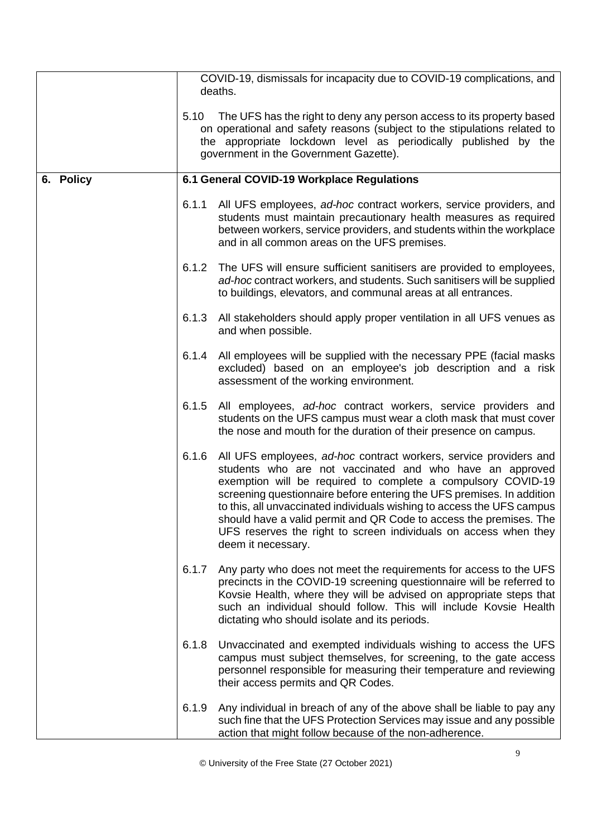|           |       | COVID-19, dismissals for incapacity due to COVID-19 complications, and<br>deaths.                                                                                                                                                                                                                                                                                                                                                                                                                                |
|-----------|-------|------------------------------------------------------------------------------------------------------------------------------------------------------------------------------------------------------------------------------------------------------------------------------------------------------------------------------------------------------------------------------------------------------------------------------------------------------------------------------------------------------------------|
|           | 5.10  | The UFS has the right to deny any person access to its property based<br>on operational and safety reasons (subject to the stipulations related to<br>the appropriate lockdown level as periodically published by the<br>government in the Government Gazette).                                                                                                                                                                                                                                                  |
| 6. Policy |       | 6.1 General COVID-19 Workplace Regulations                                                                                                                                                                                                                                                                                                                                                                                                                                                                       |
|           | 6.1.1 | All UFS employees, ad-hoc contract workers, service providers, and<br>students must maintain precautionary health measures as required<br>between workers, service providers, and students within the workplace<br>and in all common areas on the UFS premises.                                                                                                                                                                                                                                                  |
|           | 6.1.2 | The UFS will ensure sufficient sanitisers are provided to employees,<br>ad-hoc contract workers, and students. Such sanitisers will be supplied<br>to buildings, elevators, and communal areas at all entrances.                                                                                                                                                                                                                                                                                                 |
|           | 6.1.3 | All stakeholders should apply proper ventilation in all UFS venues as<br>and when possible.                                                                                                                                                                                                                                                                                                                                                                                                                      |
|           | 6.1.4 | All employees will be supplied with the necessary PPE (facial masks<br>excluded) based on an employee's job description and a risk<br>assessment of the working environment.                                                                                                                                                                                                                                                                                                                                     |
|           | 6.1.5 | All employees, ad-hoc contract workers, service providers and<br>students on the UFS campus must wear a cloth mask that must cover<br>the nose and mouth for the duration of their presence on campus.                                                                                                                                                                                                                                                                                                           |
|           | 6.1.6 | All UFS employees, ad-hoc contract workers, service providers and<br>students who are not vaccinated and who have an approved<br>exemption will be required to complete a compulsory COVID-19<br>screening questionnaire before entering the UFS premises. In addition<br>to this, all unvaccinated individuals wishing to access the UFS campus<br>should have a valid permit and QR Code to access the premises. The<br>UFS reserves the right to screen individuals on access when they<br>deem it necessary. |
|           | 6.1.7 | Any party who does not meet the requirements for access to the UFS<br>precincts in the COVID-19 screening questionnaire will be referred to<br>Kovsie Health, where they will be advised on appropriate steps that<br>such an individual should follow. This will include Kovsie Health<br>dictating who should isolate and its periods.                                                                                                                                                                         |
|           | 6.1.8 | Unvaccinated and exempted individuals wishing to access the UFS<br>campus must subject themselves, for screening, to the gate access<br>personnel responsible for measuring their temperature and reviewing<br>their access permits and QR Codes.                                                                                                                                                                                                                                                                |
|           | 6.1.9 | Any individual in breach of any of the above shall be liable to pay any<br>such fine that the UFS Protection Services may issue and any possible<br>action that might follow because of the non-adherence.                                                                                                                                                                                                                                                                                                       |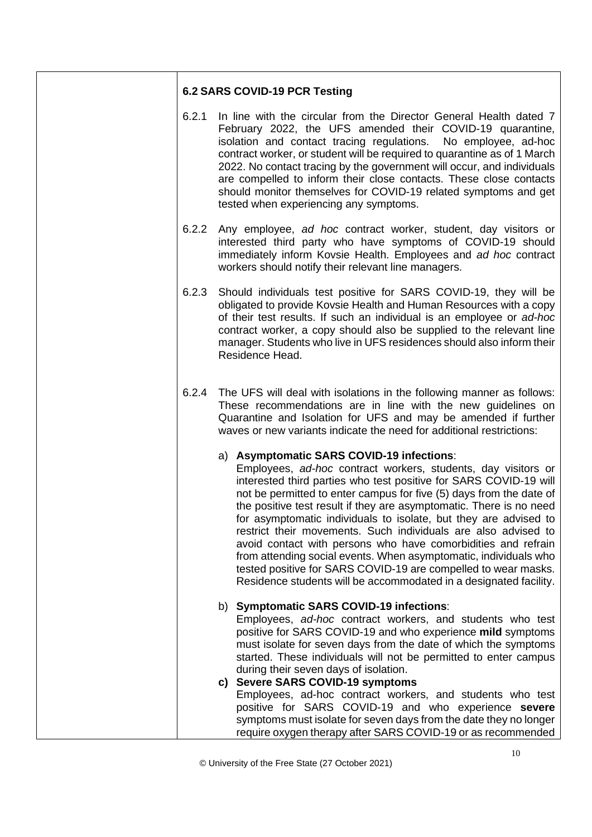|       | 6.2 SARS COVID-19 PCR Testing                                                                                                                                                                                                                                                                                                                                                                                                                                                                                                                                                                                                                                                                                                                   |
|-------|-------------------------------------------------------------------------------------------------------------------------------------------------------------------------------------------------------------------------------------------------------------------------------------------------------------------------------------------------------------------------------------------------------------------------------------------------------------------------------------------------------------------------------------------------------------------------------------------------------------------------------------------------------------------------------------------------------------------------------------------------|
| 6.2.1 | In line with the circular from the Director General Health dated 7<br>February 2022, the UFS amended their COVID-19 quarantine,<br>isolation and contact tracing regulations. No employee, ad-hoc<br>contract worker, or student will be required to quarantine as of 1 March<br>2022. No contact tracing by the government will occur, and individuals<br>are compelled to inform their close contacts. These close contacts<br>should monitor themselves for COVID-19 related symptoms and get<br>tested when experiencing any symptoms.                                                                                                                                                                                                      |
| 6.2.2 | Any employee, ad hoc contract worker, student, day visitors or<br>interested third party who have symptoms of COVID-19 should<br>immediately inform Kovsie Health. Employees and ad hoc contract<br>workers should notify their relevant line managers.                                                                                                                                                                                                                                                                                                                                                                                                                                                                                         |
| 6.2.3 | Should individuals test positive for SARS COVID-19, they will be<br>obligated to provide Kovsie Health and Human Resources with a copy<br>of their test results. If such an individual is an employee or ad-hoc<br>contract worker, a copy should also be supplied to the relevant line<br>manager. Students who live in UFS residences should also inform their<br>Residence Head.                                                                                                                                                                                                                                                                                                                                                             |
| 6.2.4 | The UFS will deal with isolations in the following manner as follows:<br>These recommendations are in line with the new guidelines on<br>Quarantine and Isolation for UFS and may be amended if further<br>waves or new variants indicate the need for additional restrictions:                                                                                                                                                                                                                                                                                                                                                                                                                                                                 |
|       | a) Asymptomatic SARS COVID-19 infections:<br>Employees, ad-hoc contract workers, students, day visitors or<br>interested third parties who test positive for SARS COVID-19 will<br>not be permitted to enter campus for five (5) days from the date of<br>the positive test result if they are asymptomatic. There is no need<br>for asymptomatic individuals to isolate, but they are advised to<br>restrict their movements. Such individuals are also advised to<br>avoid contact with persons who have comorbidities and refrain<br>from attending social events. When asymptomatic, individuals who<br>tested positive for SARS COVID-19 are compelled to wear masks.<br>Residence students will be accommodated in a designated facility. |
|       | b) Symptomatic SARS COVID-19 infections:<br>Employees, ad-hoc contract workers, and students who test<br>positive for SARS COVID-19 and who experience mild symptoms<br>must isolate for seven days from the date of which the symptoms<br>started. These individuals will not be permitted to enter campus<br>during their seven days of isolation.<br>c) Severe SARS COVID-19 symptoms                                                                                                                                                                                                                                                                                                                                                        |
|       | Employees, ad-hoc contract workers, and students who test<br>positive for SARS COVID-19 and who experience severe<br>symptoms must isolate for seven days from the date they no longer<br>require oxygen therapy after SARS COVID-19 or as recommended                                                                                                                                                                                                                                                                                                                                                                                                                                                                                          |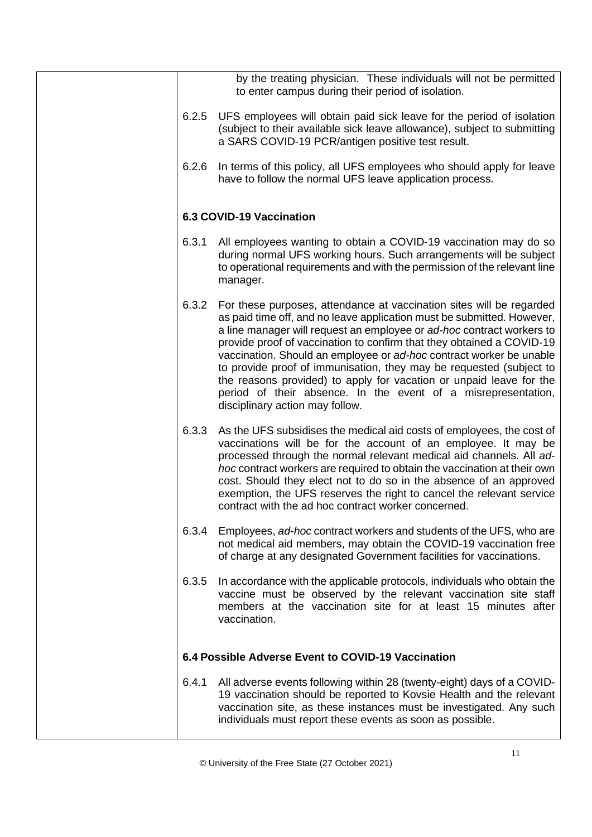|       | by the treating physician. These individuals will not be permitted<br>to enter campus during their period of isolation.                                                                                                                                                                                                                                                                                                                                                                                                                                                                                                   |
|-------|---------------------------------------------------------------------------------------------------------------------------------------------------------------------------------------------------------------------------------------------------------------------------------------------------------------------------------------------------------------------------------------------------------------------------------------------------------------------------------------------------------------------------------------------------------------------------------------------------------------------------|
|       | 6.2.5 UFS employees will obtain paid sick leave for the period of isolation<br>(subject to their available sick leave allowance), subject to submitting<br>a SARS COVID-19 PCR/antigen positive test result.                                                                                                                                                                                                                                                                                                                                                                                                              |
| 6.2.6 | In terms of this policy, all UFS employees who should apply for leave<br>have to follow the normal UFS leave application process.                                                                                                                                                                                                                                                                                                                                                                                                                                                                                         |
|       | 6.3 COVID-19 Vaccination                                                                                                                                                                                                                                                                                                                                                                                                                                                                                                                                                                                                  |
| 6.3.1 | All employees wanting to obtain a COVID-19 vaccination may do so<br>during normal UFS working hours. Such arrangements will be subject<br>to operational requirements and with the permission of the relevant line<br>manager.                                                                                                                                                                                                                                                                                                                                                                                            |
| 6.3.2 | For these purposes, attendance at vaccination sites will be regarded<br>as paid time off, and no leave application must be submitted. However,<br>a line manager will request an employee or ad-hoc contract workers to<br>provide proof of vaccination to confirm that they obtained a COVID-19<br>vaccination. Should an employee or ad-hoc contract worker be unable<br>to provide proof of immunisation, they may be requested (subject to<br>the reasons provided) to apply for vacation or unpaid leave for the<br>period of their absence. In the event of a misrepresentation,<br>disciplinary action may follow. |
| 6.3.3 | As the UFS subsidises the medical aid costs of employees, the cost of<br>vaccinations will be for the account of an employee. It may be<br>processed through the normal relevant medical aid channels. All ad-<br>hoc contract workers are required to obtain the vaccination at their own<br>cost. Should they elect not to do so in the absence of an approved<br>exemption, the UFS reserves the right to cancel the relevant service<br>contract with the ad hoc contract worker concerned.                                                                                                                           |
| 6.3.4 | Employees, ad-hoc contract workers and students of the UFS, who are<br>not medical aid members, may obtain the COVID-19 vaccination free<br>of charge at any designated Government facilities for vaccinations.                                                                                                                                                                                                                                                                                                                                                                                                           |
| 6.3.5 | In accordance with the applicable protocols, individuals who obtain the<br>vaccine must be observed by the relevant vaccination site staff<br>members at the vaccination site for at least 15 minutes after<br>vaccination.                                                                                                                                                                                                                                                                                                                                                                                               |
|       | 6.4 Possible Adverse Event to COVID-19 Vaccination                                                                                                                                                                                                                                                                                                                                                                                                                                                                                                                                                                        |
| 6.4.1 | All adverse events following within 28 (twenty-eight) days of a COVID-<br>19 vaccination should be reported to Kovsie Health and the relevant<br>vaccination site, as these instances must be investigated. Any such<br>individuals must report these events as soon as possible.                                                                                                                                                                                                                                                                                                                                         |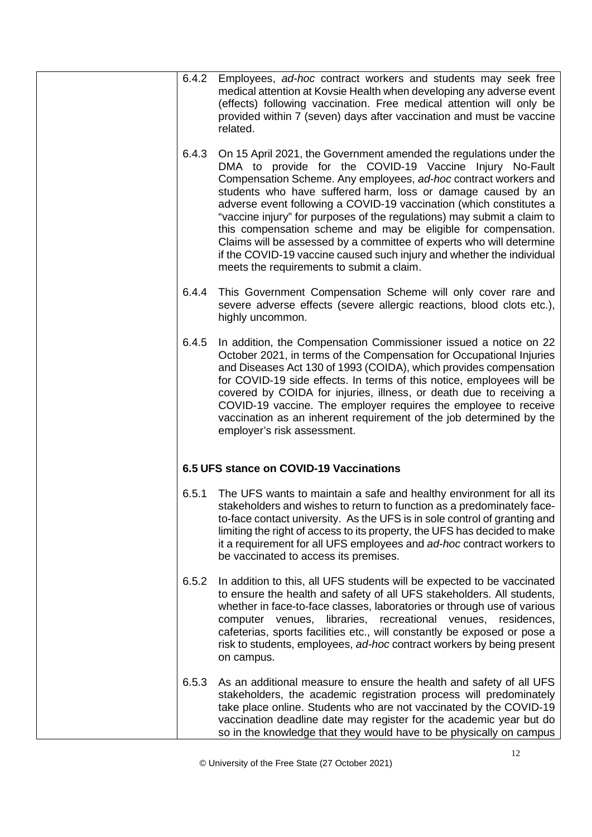| 6.4.2 | Employees, ad-hoc contract workers and students may seek free<br>medical attention at Kovsie Health when developing any adverse event<br>(effects) following vaccination. Free medical attention will only be<br>provided within 7 (seven) days after vaccination and must be vaccine<br>related.                                                                                                                                                                                                                                                                                                                                                                                  |
|-------|------------------------------------------------------------------------------------------------------------------------------------------------------------------------------------------------------------------------------------------------------------------------------------------------------------------------------------------------------------------------------------------------------------------------------------------------------------------------------------------------------------------------------------------------------------------------------------------------------------------------------------------------------------------------------------|
| 6.4.3 | On 15 April 2021, the Government amended the regulations under the<br>DMA to provide for the COVID-19 Vaccine Injury No-Fault<br>Compensation Scheme. Any employees, ad-hoc contract workers and<br>students who have suffered harm, loss or damage caused by an<br>adverse event following a COVID-19 vaccination (which constitutes a<br>"vaccine injury" for purposes of the regulations) may submit a claim to<br>this compensation scheme and may be eligible for compensation.<br>Claims will be assessed by a committee of experts who will determine<br>if the COVID-19 vaccine caused such injury and whether the individual<br>meets the requirements to submit a claim. |
| 6.4.4 | This Government Compensation Scheme will only cover rare and<br>severe adverse effects (severe allergic reactions, blood clots etc.),<br>highly uncommon.                                                                                                                                                                                                                                                                                                                                                                                                                                                                                                                          |
| 6.4.5 | In addition, the Compensation Commissioner issued a notice on 22<br>October 2021, in terms of the Compensation for Occupational Injuries<br>and Diseases Act 130 of 1993 (COIDA), which provides compensation<br>for COVID-19 side effects. In terms of this notice, employees will be<br>covered by COIDA for injuries, illness, or death due to receiving a<br>COVID-19 vaccine. The employer requires the employee to receive<br>vaccination as an inherent requirement of the job determined by the<br>employer's risk assessment.                                                                                                                                             |
|       | 6.5 UFS stance on COVID-19 Vaccinations                                                                                                                                                                                                                                                                                                                                                                                                                                                                                                                                                                                                                                            |
| 6.5.1 | The UFS wants to maintain a safe and healthy environment for all its<br>stakeholders and wishes to return to function as a predominately face-<br>to-face contact university. As the UFS is in sole control of granting and<br>limiting the right of access to its property, the UFS has decided to make<br>it a requirement for all UFS employees and ad-hoc contract workers to<br>be vaccinated to access its premises.                                                                                                                                                                                                                                                         |
| 6.5.2 | In addition to this, all UFS students will be expected to be vaccinated<br>to ensure the health and safety of all UFS stakeholders. All students,<br>whether in face-to-face classes, laboratories or through use of various<br>computer venues, libraries, recreational venues, residences,<br>cafeterias, sports facilities etc., will constantly be exposed or pose a<br>risk to students, employees, ad-hoc contract workers by being present<br>on campus.                                                                                                                                                                                                                    |
| 6.5.3 | As an additional measure to ensure the health and safety of all UFS<br>stakeholders, the academic registration process will predominately<br>take place online. Students who are not vaccinated by the COVID-19<br>vaccination deadline date may register for the academic year but do<br>so in the knowledge that they would have to be physically on campus                                                                                                                                                                                                                                                                                                                      |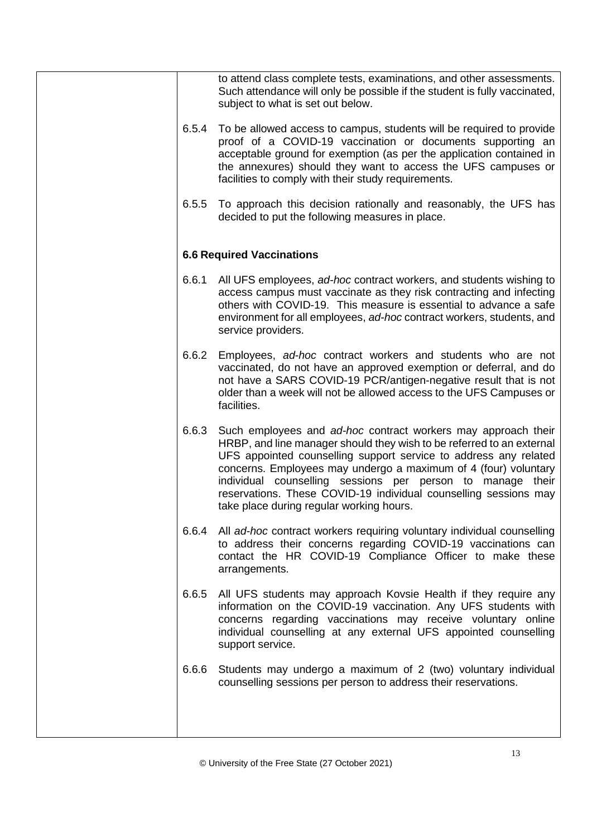|       | to attend class complete tests, examinations, and other assessments.<br>Such attendance will only be possible if the student is fully vaccinated,<br>subject to what is set out below.                                                                                                                                                                                                                                                                      |
|-------|-------------------------------------------------------------------------------------------------------------------------------------------------------------------------------------------------------------------------------------------------------------------------------------------------------------------------------------------------------------------------------------------------------------------------------------------------------------|
| 6.5.4 | To be allowed access to campus, students will be required to provide<br>proof of a COVID-19 vaccination or documents supporting an<br>acceptable ground for exemption (as per the application contained in<br>the annexures) should they want to access the UFS campuses or<br>facilities to comply with their study requirements.                                                                                                                          |
| 6.5.5 | To approach this decision rationally and reasonably, the UFS has<br>decided to put the following measures in place.                                                                                                                                                                                                                                                                                                                                         |
|       | <b>6.6 Required Vaccinations</b>                                                                                                                                                                                                                                                                                                                                                                                                                            |
| 6.6.1 | All UFS employees, ad-hoc contract workers, and students wishing to<br>access campus must vaccinate as they risk contracting and infecting<br>others with COVID-19. This measure is essential to advance a safe<br>environment for all employees, ad-hoc contract workers, students, and<br>service providers.                                                                                                                                              |
| 6.6.2 | Employees, ad-hoc contract workers and students who are not<br>vaccinated, do not have an approved exemption or deferral, and do<br>not have a SARS COVID-19 PCR/antigen-negative result that is not<br>older than a week will not be allowed access to the UFS Campuses or<br>facilities.                                                                                                                                                                  |
| 6.6.3 | Such employees and ad-hoc contract workers may approach their<br>HRBP, and line manager should they wish to be referred to an external<br>UFS appointed counselling support service to address any related<br>concerns. Employees may undergo a maximum of 4 (four) voluntary<br>individual counselling sessions per person to manage their<br>reservations. These COVID-19 individual counselling sessions may<br>take place during regular working hours. |
|       | 6.6.4 All ad-hoc contract workers requiring voluntary individual counselling<br>to address their concerns regarding COVID-19 vaccinations can<br>contact the HR COVID-19 Compliance Officer to make these<br>arrangements.                                                                                                                                                                                                                                  |
| 6.6.5 | All UFS students may approach Kovsie Health if they require any<br>information on the COVID-19 vaccination. Any UFS students with<br>concerns regarding vaccinations may receive voluntary online<br>individual counselling at any external UFS appointed counselling<br>support service.                                                                                                                                                                   |
| 6.6.6 | Students may undergo a maximum of 2 (two) voluntary individual<br>counselling sessions per person to address their reservations.                                                                                                                                                                                                                                                                                                                            |
|       |                                                                                                                                                                                                                                                                                                                                                                                                                                                             |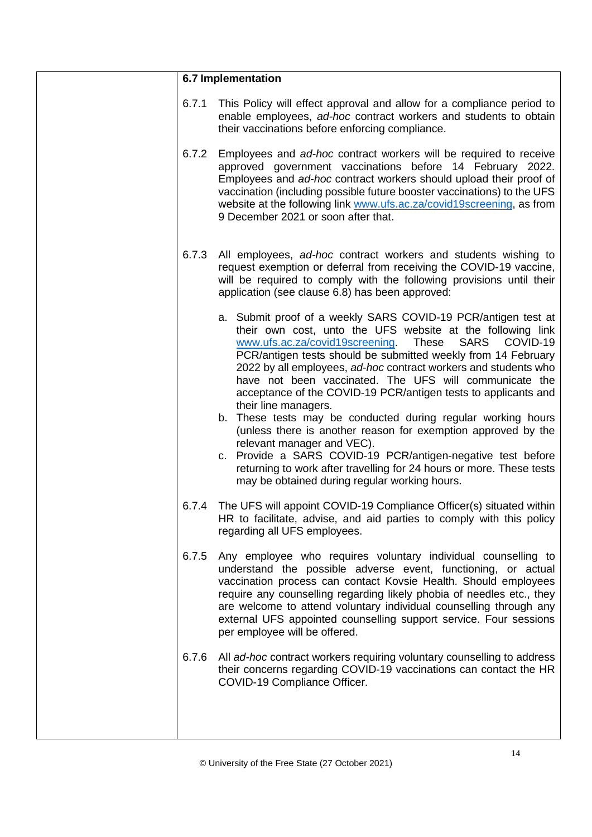|       | 6.7 Implementation                                                                                                                                                                                                                                                                                                                                                                                                                                                                                                                                                                                                                                                                                                                                                                                                                                       |
|-------|----------------------------------------------------------------------------------------------------------------------------------------------------------------------------------------------------------------------------------------------------------------------------------------------------------------------------------------------------------------------------------------------------------------------------------------------------------------------------------------------------------------------------------------------------------------------------------------------------------------------------------------------------------------------------------------------------------------------------------------------------------------------------------------------------------------------------------------------------------|
| 6.7.1 | This Policy will effect approval and allow for a compliance period to<br>enable employees, ad-hoc contract workers and students to obtain<br>their vaccinations before enforcing compliance.                                                                                                                                                                                                                                                                                                                                                                                                                                                                                                                                                                                                                                                             |
|       | 6.7.2 Employees and ad-hoc contract workers will be required to receive<br>approved government vaccinations before 14 February 2022.<br>Employees and ad-hoc contract workers should upload their proof of<br>vaccination (including possible future booster vaccinations) to the UFS<br>website at the following link www.ufs.ac.za/covid19screening, as from<br>9 December 2021 or soon after that.                                                                                                                                                                                                                                                                                                                                                                                                                                                    |
| 6.7.3 | All employees, ad-hoc contract workers and students wishing to<br>request exemption or deferral from receiving the COVID-19 vaccine,<br>will be required to comply with the following provisions until their<br>application (see clause 6.8) has been approved:                                                                                                                                                                                                                                                                                                                                                                                                                                                                                                                                                                                          |
|       | a. Submit proof of a weekly SARS COVID-19 PCR/antigen test at<br>their own cost, unto the UFS website at the following link<br>www.ufs.ac.za/covid19screening.<br><b>SARS</b><br><b>These</b><br>COVID-19<br>PCR/antigen tests should be submitted weekly from 14 February<br>2022 by all employees, ad-hoc contract workers and students who<br>have not been vaccinated. The UFS will communicate the<br>acceptance of the COVID-19 PCR/antigen tests to applicants and<br>their line managers.<br>b. These tests may be conducted during regular working hours<br>(unless there is another reason for exemption approved by the<br>relevant manager and VEC).<br>c. Provide a SARS COVID-19 PCR/antigen-negative test before<br>returning to work after travelling for 24 hours or more. These tests<br>may be obtained during regular working hours. |
|       | 6.7.4 The UFS will appoint COVID-19 Compliance Officer(s) situated within<br>HR to facilitate, advise, and aid parties to comply with this policy<br>regarding all UFS employees.                                                                                                                                                                                                                                                                                                                                                                                                                                                                                                                                                                                                                                                                        |
| 6.7.5 | Any employee who requires voluntary individual counselling to<br>understand the possible adverse event, functioning, or actual<br>vaccination process can contact Kovsie Health. Should employees<br>require any counselling regarding likely phobia of needles etc., they<br>are welcome to attend voluntary individual counselling through any<br>external UFS appointed counselling support service. Four sessions<br>per employee will be offered.                                                                                                                                                                                                                                                                                                                                                                                                   |
| 6.7.6 | All ad-hoc contract workers requiring voluntary counselling to address<br>their concerns regarding COVID-19 vaccinations can contact the HR<br>COVID-19 Compliance Officer.                                                                                                                                                                                                                                                                                                                                                                                                                                                                                                                                                                                                                                                                              |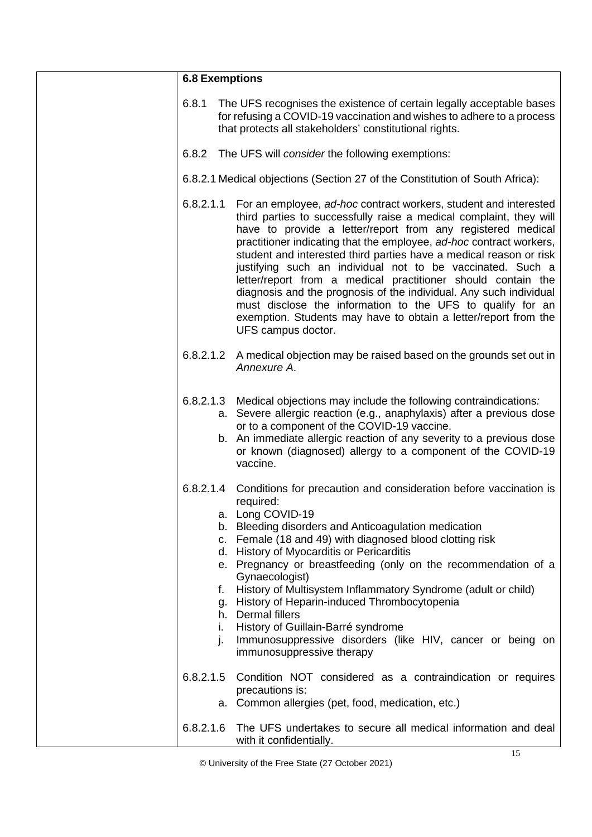| <b>6.8 Exemptions</b> |                                                                                                                                                                                                                                                                                                                                                                                                                                                                                                                                                                                                                                                                                                               |
|-----------------------|---------------------------------------------------------------------------------------------------------------------------------------------------------------------------------------------------------------------------------------------------------------------------------------------------------------------------------------------------------------------------------------------------------------------------------------------------------------------------------------------------------------------------------------------------------------------------------------------------------------------------------------------------------------------------------------------------------------|
| 6.8.1                 | The UFS recognises the existence of certain legally acceptable bases<br>for refusing a COVID-19 vaccination and wishes to adhere to a process<br>that protects all stakeholders' constitutional rights.                                                                                                                                                                                                                                                                                                                                                                                                                                                                                                       |
| 6.8.2                 | The UFS will consider the following exemptions:                                                                                                                                                                                                                                                                                                                                                                                                                                                                                                                                                                                                                                                               |
|                       | 6.8.2.1 Medical objections (Section 27 of the Constitution of South Africa):                                                                                                                                                                                                                                                                                                                                                                                                                                                                                                                                                                                                                                  |
| 6.8.2.1.1             | For an employee, ad-hoc contract workers, student and interested<br>third parties to successfully raise a medical complaint, they will<br>have to provide a letter/report from any registered medical<br>practitioner indicating that the employee, ad-hoc contract workers,<br>student and interested third parties have a medical reason or risk<br>justifying such an individual not to be vaccinated. Such a<br>letter/report from a medical practitioner should contain the<br>diagnosis and the prognosis of the individual. Any such individual<br>must disclose the information to the UFS to qualify for an<br>exemption. Students may have to obtain a letter/report from the<br>UFS campus doctor. |
|                       | 6.8.2.1.2 A medical objection may be raised based on the grounds set out in<br>Annexure A.                                                                                                                                                                                                                                                                                                                                                                                                                                                                                                                                                                                                                    |
|                       | 6.8.2.1.3 Medical objections may include the following contraindications:<br>a. Severe allergic reaction (e.g., anaphylaxis) after a previous dose<br>or to a component of the COVID-19 vaccine.<br>b. An immediate allergic reaction of any severity to a previous dose<br>or known (diagnosed) allergy to a component of the COVID-19<br>vaccine.                                                                                                                                                                                                                                                                                                                                                           |
| f.<br>İ.<br>j.        | 6.8.2.1.4 Conditions for precaution and consideration before vaccination is<br>required:<br>a. Long COVID-19<br>b. Bleeding disorders and Anticoagulation medication<br>c. Female (18 and 49) with diagnosed blood clotting risk<br>d. History of Myocarditis or Pericarditis<br>e. Pregnancy or breastfeeding (only on the recommendation of a<br>Gynaecologist)<br>History of Multisystem Inflammatory Syndrome (adult or child)<br>g. History of Heparin-induced Thrombocytopenia<br>h. Dermal fillers<br>History of Guillain-Barré syndrome<br>Immunosuppressive disorders (like HIV, cancer or being on<br>immunosuppressive therapy                                                                     |
| 6.8.2.1.5             | Condition NOT considered as a contraindication or requires<br>precautions is:<br>a. Common allergies (pet, food, medication, etc.)                                                                                                                                                                                                                                                                                                                                                                                                                                                                                                                                                                            |
| 6.8.2.1.6             | The UFS undertakes to secure all medical information and deal<br>with it confidentially.                                                                                                                                                                                                                                                                                                                                                                                                                                                                                                                                                                                                                      |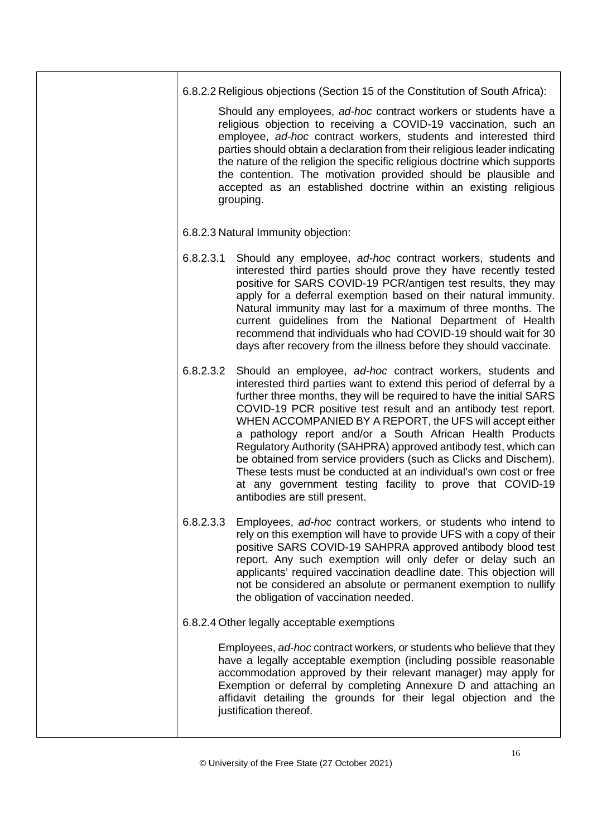|           | 6.8.2.2 Religious objections (Section 15 of the Constitution of South Africa):                                                                                                                                                                                                                                                                                                                                                                                                                                                                                                                                                                                                                                 |
|-----------|----------------------------------------------------------------------------------------------------------------------------------------------------------------------------------------------------------------------------------------------------------------------------------------------------------------------------------------------------------------------------------------------------------------------------------------------------------------------------------------------------------------------------------------------------------------------------------------------------------------------------------------------------------------------------------------------------------------|
|           | Should any employees, ad-hoc contract workers or students have a<br>religious objection to receiving a COVID-19 vaccination, such an<br>employee, ad-hoc contract workers, students and interested third<br>parties should obtain a declaration from their religious leader indicating<br>the nature of the religion the specific religious doctrine which supports<br>the contention. The motivation provided should be plausible and<br>accepted as an established doctrine within an existing religious<br>grouping.                                                                                                                                                                                        |
|           | 6.8.2.3 Natural Immunity objection:                                                                                                                                                                                                                                                                                                                                                                                                                                                                                                                                                                                                                                                                            |
| 6.8.2.3.1 | Should any employee, ad-hoc contract workers, students and<br>interested third parties should prove they have recently tested<br>positive for SARS COVID-19 PCR/antigen test results, they may<br>apply for a deferral exemption based on their natural immunity.<br>Natural immunity may last for a maximum of three months. The<br>current guidelines from the National Department of Health<br>recommend that individuals who had COVID-19 should wait for 30<br>days after recovery from the illness before they should vaccinate.                                                                                                                                                                         |
| 6.8.2.3.2 | Should an employee, ad-hoc contract workers, students and<br>interested third parties want to extend this period of deferral by a<br>further three months, they will be required to have the initial SARS<br>COVID-19 PCR positive test result and an antibody test report.<br>WHEN ACCOMPANIED BY A REPORT, the UFS will accept either<br>a pathology report and/or a South African Health Products<br>Regulatory Authority (SAHPRA) approved antibody test, which can<br>be obtained from service providers (such as Clicks and Dischem).<br>These tests must be conducted at an individual's own cost or free<br>at any government testing facility to prove that COVID-19<br>antibodies are still present. |
|           | 6.8.2.3.3 Employees, ad-hoc contract workers, or students who intend to<br>rely on this exemption will have to provide UFS with a copy of their<br>positive SARS COVID-19 SAHPRA approved antibody blood test<br>report. Any such exemption will only defer or delay such an<br>applicants' required vaccination deadline date. This objection will<br>not be considered an absolute or permanent exemption to nullify<br>the obligation of vaccination needed.                                                                                                                                                                                                                                                |
|           | 6.8.2.4 Other legally acceptable exemptions                                                                                                                                                                                                                                                                                                                                                                                                                                                                                                                                                                                                                                                                    |
|           | Employees, ad-hoc contract workers, or students who believe that they<br>have a legally acceptable exemption (including possible reasonable<br>accommodation approved by their relevant manager) may apply for<br>Exemption or deferral by completing Annexure D and attaching an<br>affidavit detailing the grounds for their legal objection and the<br>justification thereof.                                                                                                                                                                                                                                                                                                                               |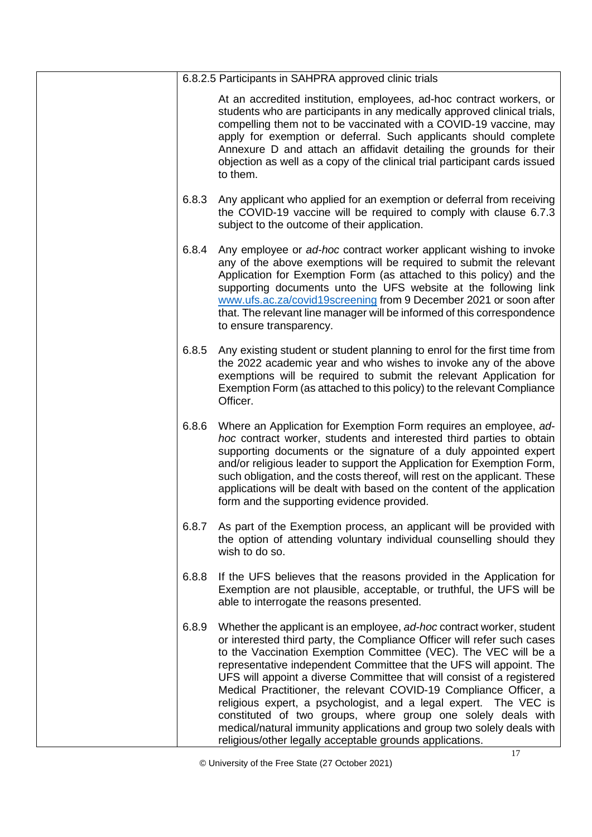|       | 6.8.2.5 Participants in SAHPRA approved clinic trials                                                                                                                                                                                                                                                                                                                                                                                                                                                                                                                                                                                                                                                              |
|-------|--------------------------------------------------------------------------------------------------------------------------------------------------------------------------------------------------------------------------------------------------------------------------------------------------------------------------------------------------------------------------------------------------------------------------------------------------------------------------------------------------------------------------------------------------------------------------------------------------------------------------------------------------------------------------------------------------------------------|
|       | At an accredited institution, employees, ad-hoc contract workers, or<br>students who are participants in any medically approved clinical trials,<br>compelling them not to be vaccinated with a COVID-19 vaccine, may<br>apply for exemption or deferral. Such applicants should complete<br>Annexure D and attach an affidavit detailing the grounds for their<br>objection as well as a copy of the clinical trial participant cards issued<br>to them.                                                                                                                                                                                                                                                          |
| 6.8.3 | Any applicant who applied for an exemption or deferral from receiving<br>the COVID-19 vaccine will be required to comply with clause 6.7.3<br>subject to the outcome of their application.                                                                                                                                                                                                                                                                                                                                                                                                                                                                                                                         |
| 6.8.4 | Any employee or ad-hoc contract worker applicant wishing to invoke<br>any of the above exemptions will be required to submit the relevant<br>Application for Exemption Form (as attached to this policy) and the<br>supporting documents unto the UFS website at the following link<br>www.ufs.ac.za/covid19screening from 9 December 2021 or soon after<br>that. The relevant line manager will be informed of this correspondence<br>to ensure transparency.                                                                                                                                                                                                                                                     |
| 6.8.5 | Any existing student or student planning to enrol for the first time from<br>the 2022 academic year and who wishes to invoke any of the above<br>exemptions will be required to submit the relevant Application for<br>Exemption Form (as attached to this policy) to the relevant Compliance<br>Officer.                                                                                                                                                                                                                                                                                                                                                                                                          |
| 6.8.6 | Where an Application for Exemption Form requires an employee, ad-<br>hoc contract worker, students and interested third parties to obtain<br>supporting documents or the signature of a duly appointed expert<br>and/or religious leader to support the Application for Exemption Form,<br>such obligation, and the costs thereof, will rest on the applicant. These<br>applications will be dealt with based on the content of the application<br>form and the supporting evidence provided.                                                                                                                                                                                                                      |
| 6.8.7 | As part of the Exemption process, an applicant will be provided with<br>the option of attending voluntary individual counselling should they<br>wish to do so.                                                                                                                                                                                                                                                                                                                                                                                                                                                                                                                                                     |
| 6.8.8 | If the UFS believes that the reasons provided in the Application for<br>Exemption are not plausible, acceptable, or truthful, the UFS will be<br>able to interrogate the reasons presented.                                                                                                                                                                                                                                                                                                                                                                                                                                                                                                                        |
| 6.8.9 | Whether the applicant is an employee, ad-hoc contract worker, student<br>or interested third party, the Compliance Officer will refer such cases<br>to the Vaccination Exemption Committee (VEC). The VEC will be a<br>representative independent Committee that the UFS will appoint. The<br>UFS will appoint a diverse Committee that will consist of a registered<br>Medical Practitioner, the relevant COVID-19 Compliance Officer, a<br>religious expert, a psychologist, and a legal expert. The VEC is<br>constituted of two groups, where group one solely deals with<br>medical/natural immunity applications and group two solely deals with<br>religious/other legally acceptable grounds applications. |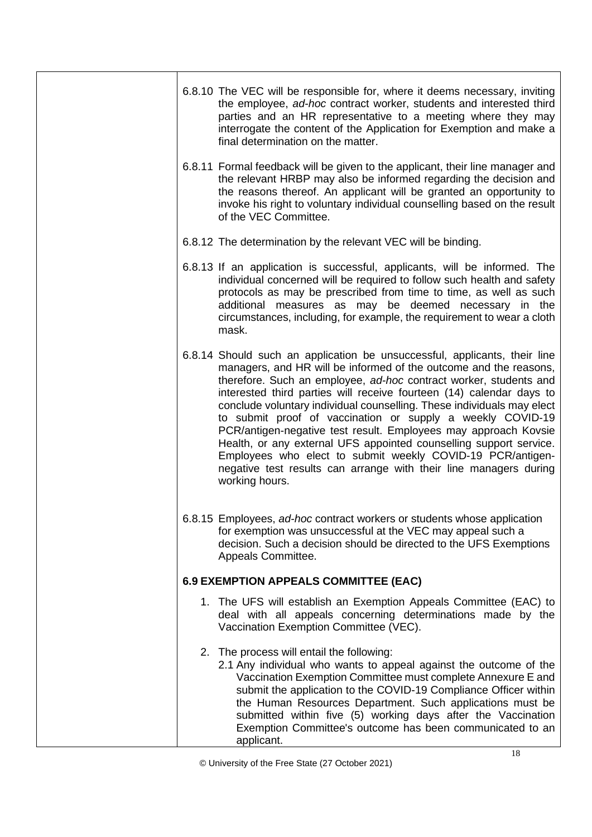| 6.8.10 The VEC will be responsible for, where it deems necessary, inviting<br>the employee, ad-hoc contract worker, students and interested third<br>parties and an HR representative to a meeting where they may<br>interrogate the content of the Application for Exemption and make a<br>final determination on the matter.                                                                                                                                                                                                                                                                                                                                                                                                    |
|-----------------------------------------------------------------------------------------------------------------------------------------------------------------------------------------------------------------------------------------------------------------------------------------------------------------------------------------------------------------------------------------------------------------------------------------------------------------------------------------------------------------------------------------------------------------------------------------------------------------------------------------------------------------------------------------------------------------------------------|
| 6.8.11 Formal feedback will be given to the applicant, their line manager and<br>the relevant HRBP may also be informed regarding the decision and<br>the reasons thereof. An applicant will be granted an opportunity to<br>invoke his right to voluntary individual counselling based on the result<br>of the VEC Committee.                                                                                                                                                                                                                                                                                                                                                                                                    |
| 6.8.12 The determination by the relevant VEC will be binding.                                                                                                                                                                                                                                                                                                                                                                                                                                                                                                                                                                                                                                                                     |
| 6.8.13 If an application is successful, applicants, will be informed. The<br>individual concerned will be required to follow such health and safety<br>protocols as may be prescribed from time to time, as well as such<br>additional measures as may be deemed necessary in the<br>circumstances, including, for example, the requirement to wear a cloth<br>mask.                                                                                                                                                                                                                                                                                                                                                              |
| 6.8.14 Should such an application be unsuccessful, applicants, their line<br>managers, and HR will be informed of the outcome and the reasons,<br>therefore. Such an employee, ad-hoc contract worker, students and<br>interested third parties will receive fourteen (14) calendar days to<br>conclude voluntary individual counselling. These individuals may elect<br>to submit proof of vaccination or supply a weekly COVID-19<br>PCR/antigen-negative test result. Employees may approach Kovsie<br>Health, or any external UFS appointed counselling support service.<br>Employees who elect to submit weekly COVID-19 PCR/antigen-<br>negative test results can arrange with their line managers during<br>working hours. |
| 6.8.15 Employees, ad-hoc contract workers or students whose application<br>for exemption was unsuccessful at the VEC may appeal such a<br>decision. Such a decision should be directed to the UFS Exemptions<br>Appeals Committee.                                                                                                                                                                                                                                                                                                                                                                                                                                                                                                |
| <b>6.9 EXEMPTION APPEALS COMMITTEE (EAC)</b>                                                                                                                                                                                                                                                                                                                                                                                                                                                                                                                                                                                                                                                                                      |
| 1. The UFS will establish an Exemption Appeals Committee (EAC) to<br>deal with all appeals concerning determinations made by the<br>Vaccination Exemption Committee (VEC).                                                                                                                                                                                                                                                                                                                                                                                                                                                                                                                                                        |
| 2. The process will entail the following:<br>2.1 Any individual who wants to appeal against the outcome of the<br>Vaccination Exemption Committee must complete Annexure E and<br>submit the application to the COVID-19 Compliance Officer within<br>the Human Resources Department. Such applications must be<br>submitted within five (5) working days after the Vaccination<br>Exemption Committee's outcome has been communicated to an<br>applicant.                                                                                                                                                                                                                                                                        |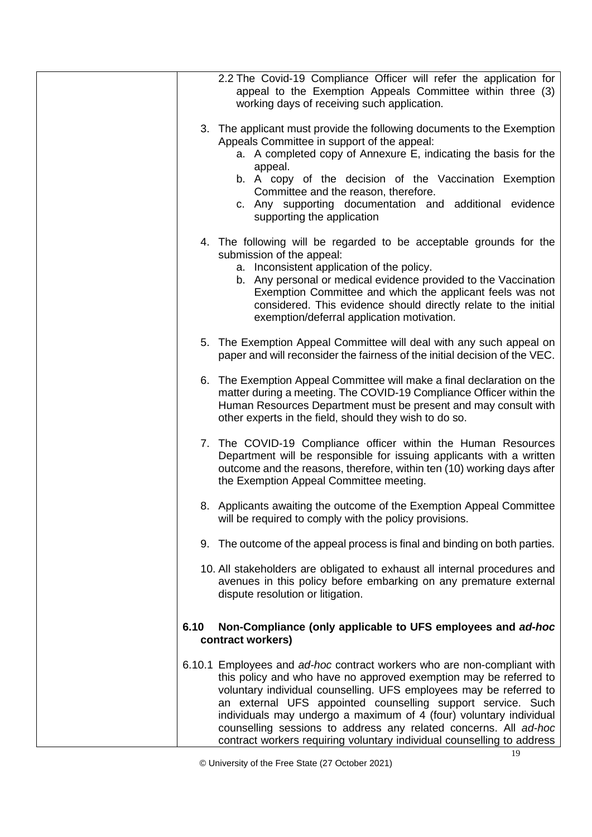|      | 2.2 The Covid-19 Compliance Officer will refer the application for<br>appeal to the Exemption Appeals Committee within three (3)<br>working days of receiving such application.                                                                                                                                                                                                                                                                                                                       |
|------|-------------------------------------------------------------------------------------------------------------------------------------------------------------------------------------------------------------------------------------------------------------------------------------------------------------------------------------------------------------------------------------------------------------------------------------------------------------------------------------------------------|
|      | 3. The applicant must provide the following documents to the Exemption<br>Appeals Committee in support of the appeal:<br>a. A completed copy of Annexure E, indicating the basis for the<br>appeal.<br>b. A copy of the decision of the Vaccination Exemption<br>Committee and the reason, therefore.<br>c. Any supporting documentation and additional evidence<br>supporting the application                                                                                                        |
|      | 4. The following will be regarded to be acceptable grounds for the<br>submission of the appeal:<br>a. Inconsistent application of the policy.<br>b. Any personal or medical evidence provided to the Vaccination<br>Exemption Committee and which the applicant feels was not<br>considered. This evidence should directly relate to the initial<br>exemption/deferral application motivation.                                                                                                        |
|      | 5. The Exemption Appeal Committee will deal with any such appeal on<br>paper and will reconsider the fairness of the initial decision of the VEC.                                                                                                                                                                                                                                                                                                                                                     |
|      | 6. The Exemption Appeal Committee will make a final declaration on the<br>matter during a meeting. The COVID-19 Compliance Officer within the<br>Human Resources Department must be present and may consult with<br>other experts in the field, should they wish to do so.                                                                                                                                                                                                                            |
|      | 7. The COVID-19 Compliance officer within the Human Resources<br>Department will be responsible for issuing applicants with a written<br>outcome and the reasons, therefore, within ten (10) working days after<br>the Exemption Appeal Committee meeting.                                                                                                                                                                                                                                            |
|      | 8. Applicants awaiting the outcome of the Exemption Appeal Committee<br>will be required to comply with the policy provisions.                                                                                                                                                                                                                                                                                                                                                                        |
|      | 9. The outcome of the appeal process is final and binding on both parties.                                                                                                                                                                                                                                                                                                                                                                                                                            |
|      | 10. All stakeholders are obligated to exhaust all internal procedures and<br>avenues in this policy before embarking on any premature external<br>dispute resolution or litigation.                                                                                                                                                                                                                                                                                                                   |
| 6.10 | Non-Compliance (only applicable to UFS employees and ad-hoc<br>contract workers)                                                                                                                                                                                                                                                                                                                                                                                                                      |
|      | 6.10.1 Employees and ad-hoc contract workers who are non-compliant with<br>this policy and who have no approved exemption may be referred to<br>voluntary individual counselling. UFS employees may be referred to<br>an external UFS appointed counselling support service. Such<br>individuals may undergo a maximum of 4 (four) voluntary individual<br>counselling sessions to address any related concerns. All ad-hoc<br>contract workers requiring voluntary individual counselling to address |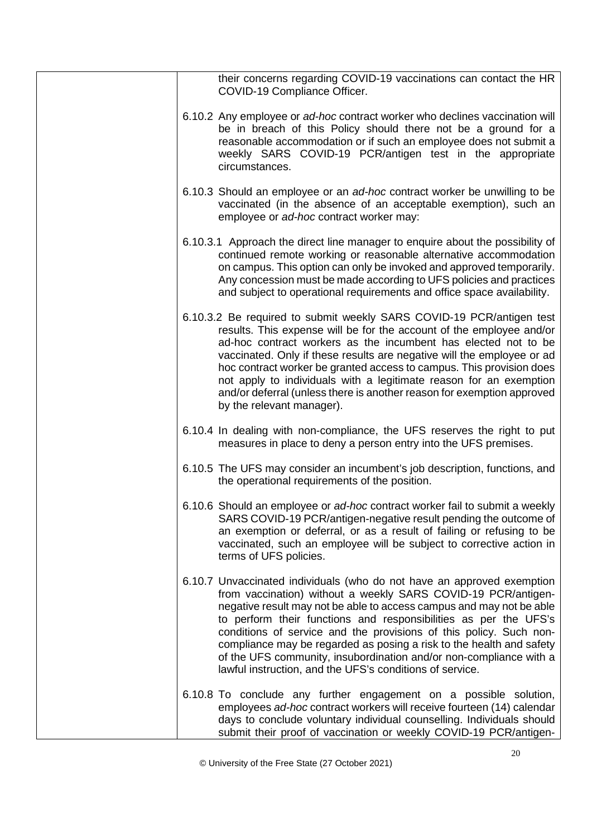| their concerns regarding COVID-19 vaccinations can contact the HR                                                                                                                                                                                                                                                                                                                                                                                                                                                                                                   |
|---------------------------------------------------------------------------------------------------------------------------------------------------------------------------------------------------------------------------------------------------------------------------------------------------------------------------------------------------------------------------------------------------------------------------------------------------------------------------------------------------------------------------------------------------------------------|
| COVID-19 Compliance Officer.                                                                                                                                                                                                                                                                                                                                                                                                                                                                                                                                        |
| 6.10.2 Any employee or ad-hoc contract worker who declines vaccination will<br>be in breach of this Policy should there not be a ground for a<br>reasonable accommodation or if such an employee does not submit a<br>weekly SARS COVID-19 PCR/antigen test in the appropriate<br>circumstances.                                                                                                                                                                                                                                                                    |
| 6.10.3 Should an employee or an ad-hoc contract worker be unwilling to be<br>vaccinated (in the absence of an acceptable exemption), such an<br>employee or ad-hoc contract worker may:                                                                                                                                                                                                                                                                                                                                                                             |
| 6.10.3.1 Approach the direct line manager to enquire about the possibility of<br>continued remote working or reasonable alternative accommodation<br>on campus. This option can only be invoked and approved temporarily.<br>Any concession must be made according to UFS policies and practices<br>and subject to operational requirements and office space availability.                                                                                                                                                                                          |
| 6.10.3.2 Be required to submit weekly SARS COVID-19 PCR/antigen test<br>results. This expense will be for the account of the employee and/or<br>ad-hoc contract workers as the incumbent has elected not to be<br>vaccinated. Only if these results are negative will the employee or ad<br>hoc contract worker be granted access to campus. This provision does<br>not apply to individuals with a legitimate reason for an exemption<br>and/or deferral (unless there is another reason for exemption approved<br>by the relevant manager).                       |
| 6.10.4 In dealing with non-compliance, the UFS reserves the right to put<br>measures in place to deny a person entry into the UFS premises.                                                                                                                                                                                                                                                                                                                                                                                                                         |
| 6.10.5 The UFS may consider an incumbent's job description, functions, and<br>the operational requirements of the position.                                                                                                                                                                                                                                                                                                                                                                                                                                         |
| 6.10.6 Should an employee or ad-hoc contract worker fail to submit a weekly<br>SARS COVID-19 PCR/antigen-negative result pending the outcome of<br>an exemption or deferral, or as a result of failing or refusing to be<br>vaccinated, such an employee will be subject to corrective action in<br>terms of UFS policies.                                                                                                                                                                                                                                          |
| 6.10.7 Unvaccinated individuals (who do not have an approved exemption<br>from vaccination) without a weekly SARS COVID-19 PCR/antigen-<br>negative result may not be able to access campus and may not be able<br>to perform their functions and responsibilities as per the UFS's<br>conditions of service and the provisions of this policy. Such non-<br>compliance may be regarded as posing a risk to the health and safety<br>of the UFS community, insubordination and/or non-compliance with a<br>lawful instruction, and the UFS's conditions of service. |
| 6.10.8 To conclude any further engagement on a possible solution,<br>employees ad-hoc contract workers will receive fourteen (14) calendar<br>days to conclude voluntary individual counselling. Individuals should<br>submit their proof of vaccination or weekly COVID-19 PCR/antigen-                                                                                                                                                                                                                                                                            |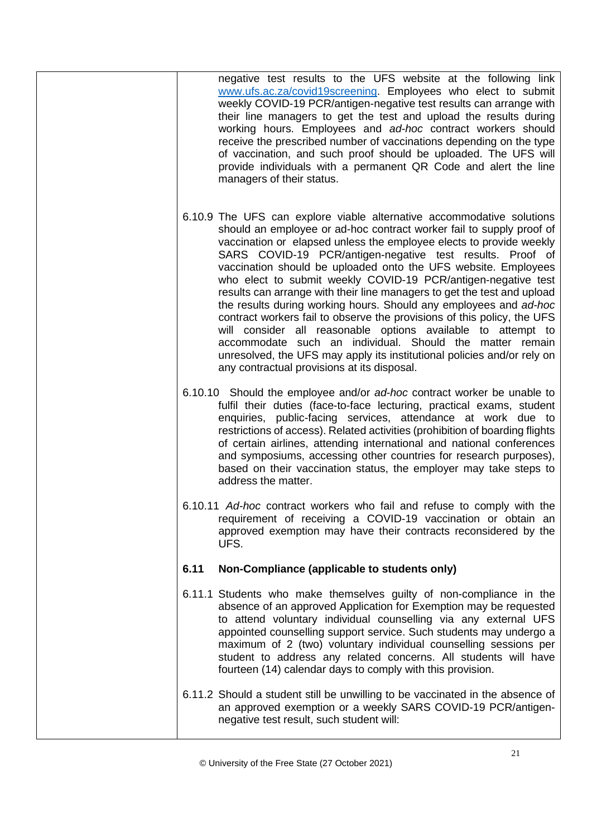|      | negative test results to the UFS website at the following link<br>www.ufs.ac.za/covid19screening. Employees who elect to submit<br>weekly COVID-19 PCR/antigen-negative test results can arrange with<br>their line managers to get the test and upload the results during<br>working hours. Employees and ad-hoc contract workers should<br>receive the prescribed number of vaccinations depending on the type<br>of vaccination, and such proof should be uploaded. The UFS will<br>provide individuals with a permanent QR Code and alert the line<br>managers of their status.                                                                                                                                                                                                                                                                                                                   |
|------|-------------------------------------------------------------------------------------------------------------------------------------------------------------------------------------------------------------------------------------------------------------------------------------------------------------------------------------------------------------------------------------------------------------------------------------------------------------------------------------------------------------------------------------------------------------------------------------------------------------------------------------------------------------------------------------------------------------------------------------------------------------------------------------------------------------------------------------------------------------------------------------------------------|
|      | 6.10.9 The UFS can explore viable alternative accommodative solutions<br>should an employee or ad-hoc contract worker fail to supply proof of<br>vaccination or elapsed unless the employee elects to provide weekly<br>SARS COVID-19 PCR/antigen-negative test results. Proof of<br>vaccination should be uploaded onto the UFS website. Employees<br>who elect to submit weekly COVID-19 PCR/antigen-negative test<br>results can arrange with their line managers to get the test and upload<br>the results during working hours. Should any employees and ad-hoc<br>contract workers fail to observe the provisions of this policy, the UFS<br>will consider all reasonable options available to attempt to<br>accommodate such an individual. Should the matter remain<br>unresolved, the UFS may apply its institutional policies and/or rely on<br>any contractual provisions at its disposal. |
|      | 6.10.10 Should the employee and/or ad-hoc contract worker be unable to<br>fulfil their duties (face-to-face lecturing, practical exams, student<br>enquiries, public-facing services, attendance at work due to<br>restrictions of access). Related activities (prohibition of boarding flights<br>of certain airlines, attending international and national conferences<br>and symposiums, accessing other countries for research purposes),<br>based on their vaccination status, the employer may take steps to<br>address the matter.                                                                                                                                                                                                                                                                                                                                                             |
|      | 6.10.11 Ad-hoc contract workers who fail and refuse to comply with the<br>requirement of receiving a COVID-19 vaccination or obtain an<br>approved exemption may have their contracts reconsidered by the<br>UFS.                                                                                                                                                                                                                                                                                                                                                                                                                                                                                                                                                                                                                                                                                     |
| 6.11 | Non-Compliance (applicable to students only)                                                                                                                                                                                                                                                                                                                                                                                                                                                                                                                                                                                                                                                                                                                                                                                                                                                          |
|      | 6.11.1 Students who make themselves guilty of non-compliance in the<br>absence of an approved Application for Exemption may be requested<br>to attend voluntary individual counselling via any external UFS<br>appointed counselling support service. Such students may undergo a<br>maximum of 2 (two) voluntary individual counselling sessions per<br>student to address any related concerns. All students will have<br>fourteen (14) calendar days to comply with this provision.                                                                                                                                                                                                                                                                                                                                                                                                                |
|      | 6.11.2 Should a student still be unwilling to be vaccinated in the absence of<br>an approved exemption or a weekly SARS COVID-19 PCR/antigen-<br>negative test result, such student will:                                                                                                                                                                                                                                                                                                                                                                                                                                                                                                                                                                                                                                                                                                             |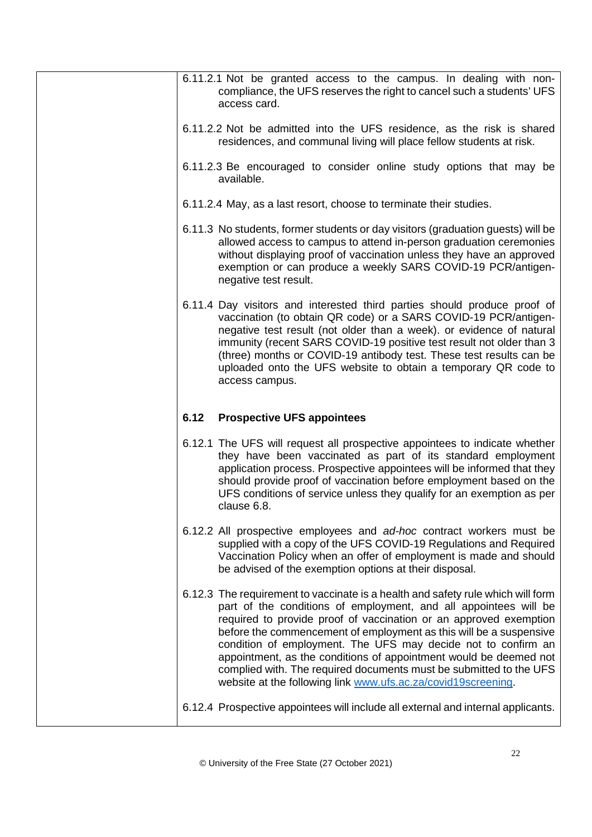|      | 6.11.2.1 Not be granted access to the campus. In dealing with non-<br>compliance, the UFS reserves the right to cancel such a students' UFS<br>access card.                                                                                                                                                                                                                                                                                                                                                                                                                 |
|------|-----------------------------------------------------------------------------------------------------------------------------------------------------------------------------------------------------------------------------------------------------------------------------------------------------------------------------------------------------------------------------------------------------------------------------------------------------------------------------------------------------------------------------------------------------------------------------|
|      | 6.11.2.2 Not be admitted into the UFS residence, as the risk is shared<br>residences, and communal living will place fellow students at risk.                                                                                                                                                                                                                                                                                                                                                                                                                               |
|      | 6.11.2.3 Be encouraged to consider online study options that may be<br>available.                                                                                                                                                                                                                                                                                                                                                                                                                                                                                           |
|      | 6.11.2.4 May, as a last resort, choose to terminate their studies.                                                                                                                                                                                                                                                                                                                                                                                                                                                                                                          |
|      | 6.11.3 No students, former students or day visitors (graduation guests) will be<br>allowed access to campus to attend in-person graduation ceremonies<br>without displaying proof of vaccination unless they have an approved<br>exemption or can produce a weekly SARS COVID-19 PCR/antigen-<br>negative test result.                                                                                                                                                                                                                                                      |
|      | 6.11.4 Day visitors and interested third parties should produce proof of<br>vaccination (to obtain QR code) or a SARS COVID-19 PCR/antigen-<br>negative test result (not older than a week). or evidence of natural<br>immunity (recent SARS COVID-19 positive test result not older than 3<br>(three) months or COVID-19 antibody test. These test results can be<br>uploaded onto the UFS website to obtain a temporary QR code to<br>access campus.                                                                                                                      |
|      |                                                                                                                                                                                                                                                                                                                                                                                                                                                                                                                                                                             |
| 6.12 | <b>Prospective UFS appointees</b>                                                                                                                                                                                                                                                                                                                                                                                                                                                                                                                                           |
|      | 6.12.1 The UFS will request all prospective appointees to indicate whether<br>they have been vaccinated as part of its standard employment<br>application process. Prospective appointees will be informed that they<br>should provide proof of vaccination before employment based on the<br>UFS conditions of service unless they qualify for an exemption as per<br>clause 6.8.                                                                                                                                                                                          |
|      | 6.12.2 All prospective employees and ad-hoc contract workers must be<br>supplied with a copy of the UFS COVID-19 Regulations and Required<br>Vaccination Policy when an offer of employment is made and should<br>be advised of the exemption options at their disposal.                                                                                                                                                                                                                                                                                                    |
|      | 6.12.3 The requirement to vaccinate is a health and safety rule which will form<br>part of the conditions of employment, and all appointees will be<br>required to provide proof of vaccination or an approved exemption<br>before the commencement of employment as this will be a suspensive<br>condition of employment. The UFS may decide not to confirm an<br>appointment, as the conditions of appointment would be deemed not<br>complied with. The required documents must be submitted to the UFS<br>website at the following link www.ufs.ac.za/covid19screening. |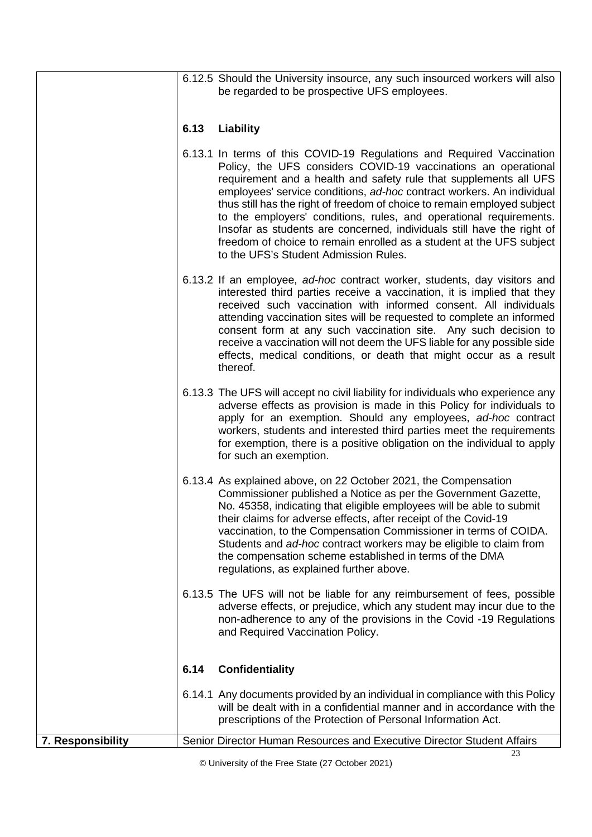|                   |      | 6.12.5 Should the University insource, any such insourced workers will also<br>be regarded to be prospective UFS employees.                                                                                                                                                                                                                                                                                                                                                                                                                                                                                                        |
|-------------------|------|------------------------------------------------------------------------------------------------------------------------------------------------------------------------------------------------------------------------------------------------------------------------------------------------------------------------------------------------------------------------------------------------------------------------------------------------------------------------------------------------------------------------------------------------------------------------------------------------------------------------------------|
|                   |      |                                                                                                                                                                                                                                                                                                                                                                                                                                                                                                                                                                                                                                    |
|                   | 6.13 | Liability                                                                                                                                                                                                                                                                                                                                                                                                                                                                                                                                                                                                                          |
|                   |      | 6.13.1 In terms of this COVID-19 Regulations and Required Vaccination<br>Policy, the UFS considers COVID-19 vaccinations an operational<br>requirement and a health and safety rule that supplements all UFS<br>employees' service conditions, ad-hoc contract workers. An individual<br>thus still has the right of freedom of choice to remain employed subject<br>to the employers' conditions, rules, and operational requirements.<br>Insofar as students are concerned, individuals still have the right of<br>freedom of choice to remain enrolled as a student at the UFS subject<br>to the UFS's Student Admission Rules. |
|                   |      | 6.13.2 If an employee, ad-hoc contract worker, students, day visitors and<br>interested third parties receive a vaccination, it is implied that they<br>received such vaccination with informed consent. All individuals<br>attending vaccination sites will be requested to complete an informed<br>consent form at any such vaccination site. Any such decision to<br>receive a vaccination will not deem the UFS liable for any possible side<br>effects, medical conditions, or death that might occur as a result<br>thereof.                                                                                                 |
|                   |      | 6.13.3 The UFS will accept no civil liability for individuals who experience any<br>adverse effects as provision is made in this Policy for individuals to<br>apply for an exemption. Should any employees, ad-hoc contract<br>workers, students and interested third parties meet the requirements<br>for exemption, there is a positive obligation on the individual to apply<br>for such an exemption.                                                                                                                                                                                                                          |
|                   |      | 6.13.4 As explained above, on 22 October 2021, the Compensation<br>Commissioner published a Notice as per the Government Gazette,<br>No. 45358, indicating that eligible employees will be able to submit<br>their claims for adverse effects, after receipt of the Covid-19<br>vaccination, to the Compensation Commissioner in terms of COIDA.<br>Students and ad-hoc contract workers may be eligible to claim from<br>the compensation scheme established in terms of the DMA<br>regulations, as explained further above.                                                                                                      |
|                   |      | 6.13.5 The UFS will not be liable for any reimbursement of fees, possible<br>adverse effects, or prejudice, which any student may incur due to the<br>non-adherence to any of the provisions in the Covid -19 Regulations<br>and Required Vaccination Policy.                                                                                                                                                                                                                                                                                                                                                                      |
|                   | 6.14 | <b>Confidentiality</b>                                                                                                                                                                                                                                                                                                                                                                                                                                                                                                                                                                                                             |
|                   |      | 6.14.1 Any documents provided by an individual in compliance with this Policy<br>will be dealt with in a confidential manner and in accordance with the<br>prescriptions of the Protection of Personal Information Act.                                                                                                                                                                                                                                                                                                                                                                                                            |
| 7. Responsibility |      | Senior Director Human Resources and Executive Director Student Affairs                                                                                                                                                                                                                                                                                                                                                                                                                                                                                                                                                             |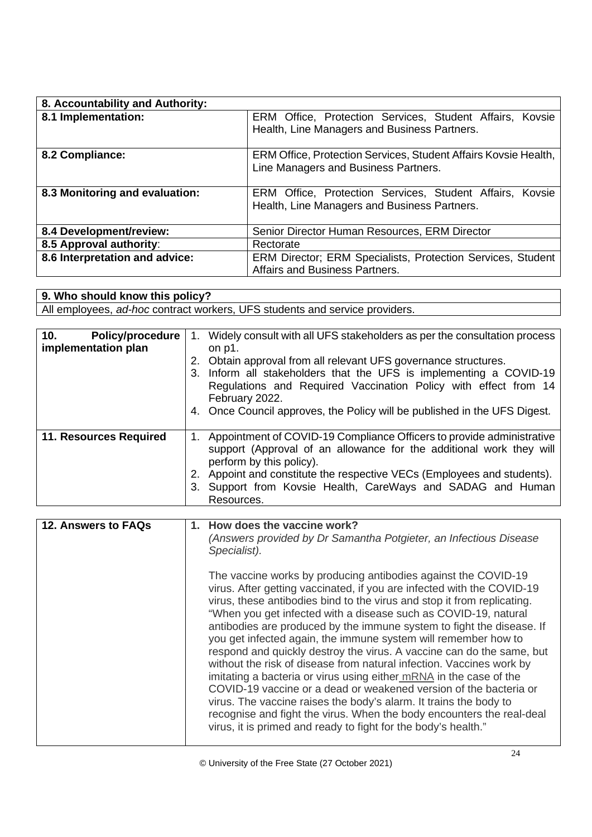| 8. Accountability and Authority: |                                                                                                          |
|----------------------------------|----------------------------------------------------------------------------------------------------------|
| 8.1 Implementation:              | ERM Office, Protection Services, Student Affairs, Kovsie<br>Health, Line Managers and Business Partners. |
|                                  |                                                                                                          |
| 8.2 Compliance:                  | ERM Office, Protection Services, Student Affairs Kovsie Health,<br>Line Managers and Business Partners.  |
| 8.3 Monitoring and evaluation:   | ERM Office, Protection Services, Student Affairs, Kovsie<br>Health, Line Managers and Business Partners. |
| 8.4 Development/review:          | Senior Director Human Resources, ERM Director                                                            |
| 8.5 Approval authority:          | Rectorate                                                                                                |
| 8.6 Interpretation and advice:   | ERM Director; ERM Specialists, Protection Services, Student                                              |
|                                  | Affairs and Business Partners.                                                                           |

**9. Who should know this policy?** All employees, *ad-hoc* contract workers, UFS students and service providers.

| 10.<br><b>Policy/procedure</b><br>implementation plan | $1_{-}$ | Widely consult with all UFS stakeholders as per the consultation process<br>on p1.                                                                                       |
|-------------------------------------------------------|---------|--------------------------------------------------------------------------------------------------------------------------------------------------------------------------|
|                                                       |         | 2. Obtain approval from all relevant UFS governance structures.                                                                                                          |
|                                                       | 3.      | Inform all stakeholders that the UFS is implementing a COVID-19<br>Regulations and Required Vaccination Policy with effect from 14<br>February 2022.                     |
|                                                       |         | 4. Once Council approves, the Policy will be published in the UFS Digest.                                                                                                |
| 11. Resources Required                                | 1.      | Appointment of COVID-19 Compliance Officers to provide administrative<br>support (Approval of an allowance for the additional work they will<br>perform by this policy). |
|                                                       | 2.      | Appoint and constitute the respective VECs (Employees and students).                                                                                                     |
|                                                       | 3.      | Support from Kovsie Health, CareWays and SADAG and Human<br>Resources.                                                                                                   |

| <b>12. Answers to FAQs</b> | 1. How does the vaccine work?<br>(Answers provided by Dr Samantha Potgieter, an Infectious Disease<br>Specialist).                                                                                                                                                                                                                                                                                                                                                                                                                                                                                                                                                                                                                                                                                                                                                                                                                            |
|----------------------------|-----------------------------------------------------------------------------------------------------------------------------------------------------------------------------------------------------------------------------------------------------------------------------------------------------------------------------------------------------------------------------------------------------------------------------------------------------------------------------------------------------------------------------------------------------------------------------------------------------------------------------------------------------------------------------------------------------------------------------------------------------------------------------------------------------------------------------------------------------------------------------------------------------------------------------------------------|
|                            | The vaccine works by producing antibodies against the COVID-19<br>virus. After getting vaccinated, if you are infected with the COVID-19<br>virus, these antibodies bind to the virus and stop it from replicating.<br>"When you get infected with a disease such as COVID-19, natural<br>antibodies are produced by the immune system to fight the disease. If<br>you get infected again, the immune system will remember how to<br>respond and quickly destroy the virus. A vaccine can do the same, but<br>without the risk of disease from natural infection. Vaccines work by<br>imitating a bacteria or virus using either mRNA in the case of the<br>COVID-19 vaccine or a dead or weakened version of the bacteria or<br>virus. The vaccine raises the body's alarm. It trains the body to<br>recognise and fight the virus. When the body encounters the real-deal<br>virus, it is primed and ready to fight for the body's health." |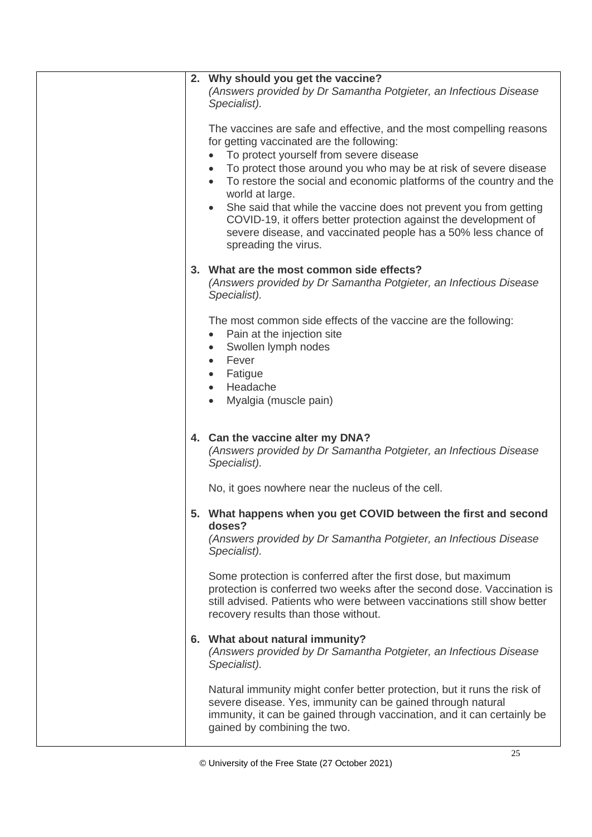|    | 2. Why should you get the vaccine?<br>(Answers provided by Dr Samantha Potgieter, an Infectious Disease<br>Specialist).<br>The vaccines are safe and effective, and the most compelling reasons<br>for getting vaccinated are the following:<br>To protect yourself from severe disease<br>To protect those around you who may be at risk of severe disease<br>To restore the social and economic platforms of the country and the<br>$\bullet$<br>world at large.<br>She said that while the vaccine does not prevent you from getting<br>COVID-19, it offers better protection against the development of<br>severe disease, and vaccinated people has a 50% less chance of |
|----|-------------------------------------------------------------------------------------------------------------------------------------------------------------------------------------------------------------------------------------------------------------------------------------------------------------------------------------------------------------------------------------------------------------------------------------------------------------------------------------------------------------------------------------------------------------------------------------------------------------------------------------------------------------------------------|
| 3. | spreading the virus.<br>What are the most common side effects?<br>(Answers provided by Dr Samantha Potgieter, an Infectious Disease<br>Specialist).                                                                                                                                                                                                                                                                                                                                                                                                                                                                                                                           |
|    | The most common side effects of the vaccine are the following:<br>Pain at the injection site<br>Swollen lymph nodes<br>Fever<br>$\bullet$<br>Fatigue<br>$\bullet$<br>Headache<br>$\bullet$<br>Myalgia (muscle pain)                                                                                                                                                                                                                                                                                                                                                                                                                                                           |
|    | 4. Can the vaccine alter my DNA?<br>(Answers provided by Dr Samantha Potgieter, an Infectious Disease<br>Specialist).                                                                                                                                                                                                                                                                                                                                                                                                                                                                                                                                                         |
|    | No, it goes nowhere near the nucleus of the cell.                                                                                                                                                                                                                                                                                                                                                                                                                                                                                                                                                                                                                             |
| 5. | What happens when you get COVID between the first and second<br>doses?<br>(Answers provided by Dr Samantha Potgieter, an Infectious Disease<br>Specialist).                                                                                                                                                                                                                                                                                                                                                                                                                                                                                                                   |
|    | Some protection is conferred after the first dose, but maximum<br>protection is conferred two weeks after the second dose. Vaccination is<br>still advised. Patients who were between vaccinations still show better<br>recovery results than those without.                                                                                                                                                                                                                                                                                                                                                                                                                  |
|    | 6. What about natural immunity?<br>(Answers provided by Dr Samantha Potgieter, an Infectious Disease<br>Specialist).                                                                                                                                                                                                                                                                                                                                                                                                                                                                                                                                                          |
|    | Natural immunity might confer better protection, but it runs the risk of<br>severe disease. Yes, immunity can be gained through natural<br>immunity, it can be gained through vaccination, and it can certainly be<br>gained by combining the two.                                                                                                                                                                                                                                                                                                                                                                                                                            |
|    | 25                                                                                                                                                                                                                                                                                                                                                                                                                                                                                                                                                                                                                                                                            |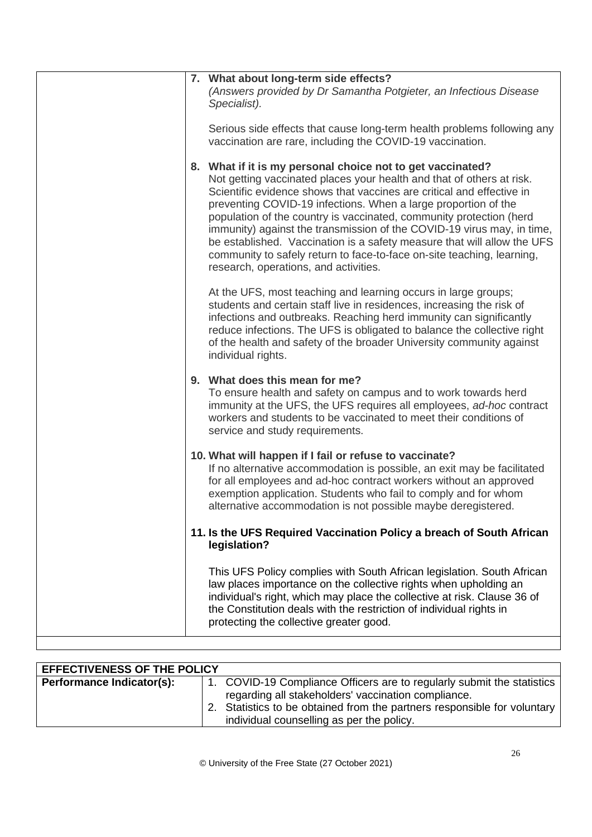|  | 7. What about long-term side effects?                                                                                                                                                                                                                                                                                                                                                                                                                                                                                                                                                                                         |
|--|-------------------------------------------------------------------------------------------------------------------------------------------------------------------------------------------------------------------------------------------------------------------------------------------------------------------------------------------------------------------------------------------------------------------------------------------------------------------------------------------------------------------------------------------------------------------------------------------------------------------------------|
|  | (Answers provided by Dr Samantha Potgieter, an Infectious Disease<br>Specialist).                                                                                                                                                                                                                                                                                                                                                                                                                                                                                                                                             |
|  | Serious side effects that cause long-term health problems following any<br>vaccination are rare, including the COVID-19 vaccination.                                                                                                                                                                                                                                                                                                                                                                                                                                                                                          |
|  | 8. What if it is my personal choice not to get vaccinated?<br>Not getting vaccinated places your health and that of others at risk.<br>Scientific evidence shows that vaccines are critical and effective in<br>preventing COVID-19 infections. When a large proportion of the<br>population of the country is vaccinated, community protection (herd<br>immunity) against the transmission of the COVID-19 virus may, in time,<br>be established. Vaccination is a safety measure that will allow the UFS<br>community to safely return to face-to-face on-site teaching, learning,<br>research, operations, and activities. |
|  | At the UFS, most teaching and learning occurs in large groups;<br>students and certain staff live in residences, increasing the risk of<br>infections and outbreaks. Reaching herd immunity can significantly<br>reduce infections. The UFS is obligated to balance the collective right<br>of the health and safety of the broader University community against<br>individual rights.                                                                                                                                                                                                                                        |
|  | 9. What does this mean for me?<br>To ensure health and safety on campus and to work towards herd<br>immunity at the UFS, the UFS requires all employees, ad-hoc contract<br>workers and students to be vaccinated to meet their conditions of<br>service and study requirements.                                                                                                                                                                                                                                                                                                                                              |
|  | 10. What will happen if I fail or refuse to vaccinate?<br>If no alternative accommodation is possible, an exit may be facilitated<br>for all employees and ad-hoc contract workers without an approved<br>exemption application. Students who fail to comply and for whom<br>alternative accommodation is not possible maybe deregistered.                                                                                                                                                                                                                                                                                    |
|  | 11. Is the UFS Required Vaccination Policy a breach of South African<br>legislation?                                                                                                                                                                                                                                                                                                                                                                                                                                                                                                                                          |
|  | This UFS Policy complies with South African legislation. South African<br>law places importance on the collective rights when upholding an<br>individual's right, which may place the collective at risk. Clause 36 of<br>the Constitution deals with the restriction of individual rights in<br>protecting the collective greater good.                                                                                                                                                                                                                                                                                      |
|  |                                                                                                                                                                                                                                                                                                                                                                                                                                                                                                                                                                                                                               |

| <b>EFFECTIVENESS OF THE POLICY</b> |                                                                          |
|------------------------------------|--------------------------------------------------------------------------|
| Performance Indicator(s):          | 1. COVID-19 Compliance Officers are to regularly submit the statistics   |
|                                    | regarding all stakeholders' vaccination compliance.                      |
|                                    | 2. Statistics to be obtained from the partners responsible for voluntary |
|                                    | individual counselling as per the policy.                                |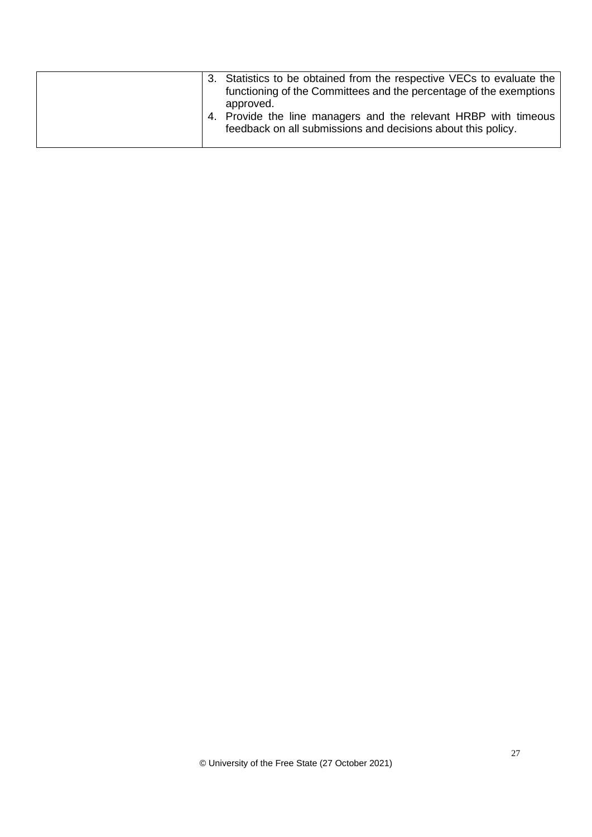| 3. | Statistics to be obtained from the respective VECs to evaluate the<br>functioning of the Committees and the percentage of the exemptions<br>approved. |
|----|-------------------------------------------------------------------------------------------------------------------------------------------------------|
|    | 4. Provide the line managers and the relevant HRBP with timeous<br>feedback on all submissions and decisions about this policy.                       |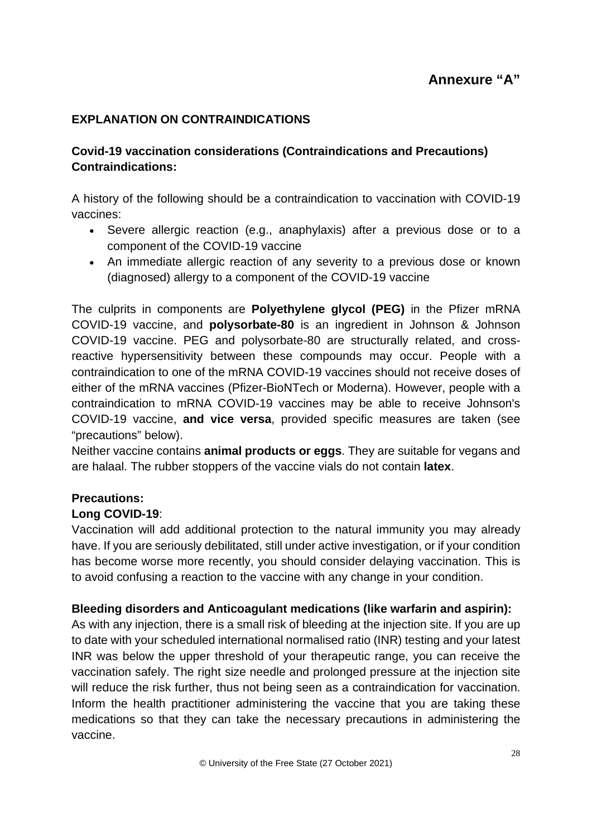# **EXPLANATION ON CONTRAINDICATIONS**

## **Covid-19 vaccination considerations (Contraindications and Precautions) Contraindications:**

A history of the following should be a contraindication to vaccination with COVID-19 vaccines:

- Severe allergic reaction (e.g., anaphylaxis) after a previous dose or to a component of the COVID-19 vaccine
- An immediate allergic reaction of any severity to a previous dose or known (diagnosed) allergy to a component of the COVID-19 vaccine

The culprits in components are **Polyethylene glycol (PEG)** in the Pfizer mRNA COVID-19 vaccine, and **polysorbate-80** is an ingredient in Johnson & Johnson COVID-19 vaccine. PEG and polysorbate-80 are structurally related, and crossreactive hypersensitivity between these compounds may occur. People with a contraindication to one of the mRNA COVID-19 vaccines should not receive doses of either of the mRNA vaccines (Pfizer-BioNTech or Moderna). However, people with a contraindication to mRNA COVID-19 vaccines may be able to receive Johnson's COVID-19 vaccine, **and vice versa**, provided specific measures are taken (see "precautions" below).

Neither vaccine contains **animal products or eggs**. They are suitable for vegans and are halaal. The rubber stoppers of the vaccine vials do not contain **latex**.

## **Precautions:**

## **Long COVID-19**:

Vaccination will add additional protection to the natural immunity you may already have. If you are seriously debilitated, still under active investigation, or if your condition has become worse more recently, you should consider delaying vaccination. This is to avoid confusing a reaction to the vaccine with any change in your condition.

### **Bleeding disorders and Anticoagulant medications (like warfarin and aspirin):**

As with any injection, there is a small risk of bleeding at the injection site. If you are up to date with your scheduled international normalised ratio (INR) testing and your latest INR was below the upper threshold of your therapeutic range, you can receive the vaccination safely. The right size needle and prolonged pressure at the injection site will reduce the risk further, thus not being seen as a contraindication for vaccination. Inform the health practitioner administering the vaccine that you are taking these medications so that they can take the necessary precautions in administering the vaccine.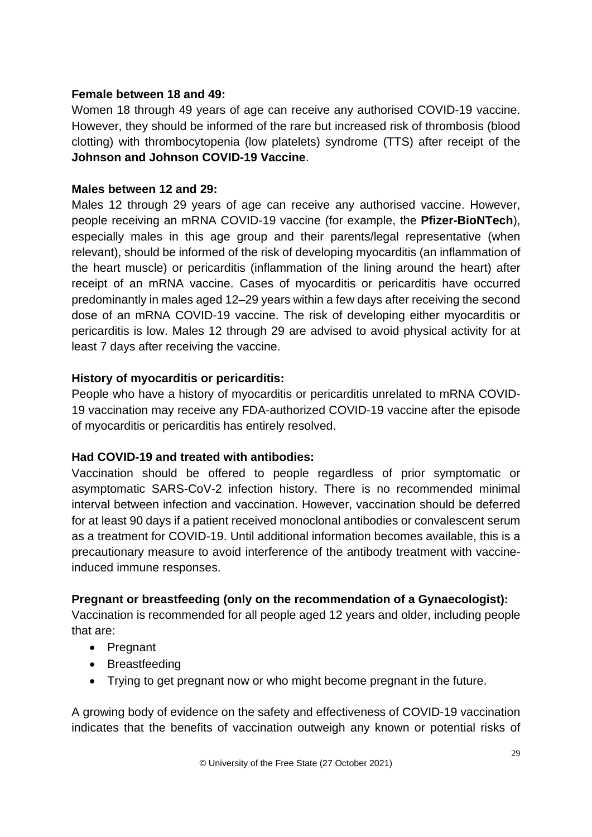## **Female between 18 and 49:**

Women 18 through 49 years of age can receive any authorised COVID-19 vaccine. However, they should be informed of the rare but increased risk of thrombosis (blood clotting) with thrombocytopenia (low platelets) syndrome (TTS) after receipt of the **Johnson and Johnson COVID-19 Vaccine**.

## **Males between 12 and 29:**

Males 12 through 29 years of age can receive any authorised vaccine. However, people receiving an mRNA COVID-19 vaccine (for example, the **Pfizer-BioNTech**), especially males in this age group and their parents/legal representative (when relevant), should be informed of the risk of developing myocarditis (an inflammation of the heart muscle) or pericarditis (inflammation of the lining around the heart) after receipt of an mRNA vaccine. Cases of myocarditis or pericarditis have occurred predominantly in males aged 12–29 years within a few days after receiving the second dose of an mRNA COVID-19 vaccine. The risk of developing either myocarditis or pericarditis is low. Males 12 through 29 are advised to avoid physical activity for at least 7 days after receiving the vaccine.

## **History of myocarditis or pericarditis:**

People who have a history of myocarditis or pericarditis unrelated to mRNA COVID-19 vaccination may receive any FDA-authorized COVID-19 vaccine after the episode of myocarditis or pericarditis has entirely resolved.

## **Had COVID-19 and treated with antibodies:**

Vaccination should be offered to people regardless of prior symptomatic or asymptomatic SARS-CoV-2 infection history. There is no recommended minimal interval between infection and vaccination. However, vaccination should be deferred for at least 90 days if a patient received monoclonal antibodies or convalescent serum as a treatment for COVID-19. Until additional information becomes available, this is a precautionary measure to avoid interference of the antibody treatment with vaccineinduced immune responses.

## **Pregnant or breastfeeding (only on the recommendation of a Gynaecologist):**

Vaccination is recommended for all people aged 12 years and older, including people that are:

- Pregnant
- Breastfeeding
- Trying to get pregnant now or who might become pregnant in the future.

A growing body of evidence on the safety and effectiveness of COVID-19 vaccination indicates that the benefits of vaccination outweigh any known or potential risks of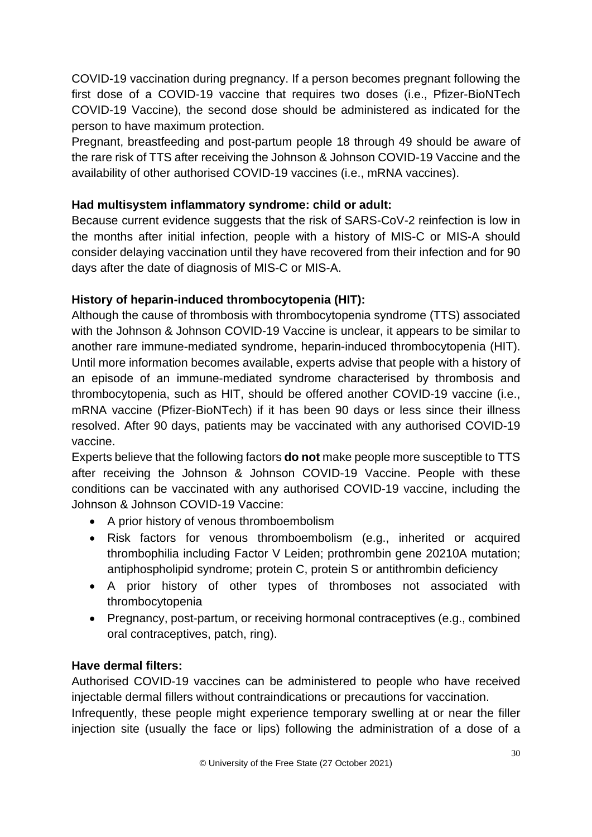COVID-19 vaccination during pregnancy. If a person becomes pregnant following the first dose of a COVID-19 vaccine that requires two doses (i.e., Pfizer-BioNTech COVID-19 Vaccine), the second dose should be administered as indicated for the person to have maximum protection.

Pregnant, breastfeeding and post-partum people 18 through 49 should be aware of the rare risk of TTS after receiving the Johnson & Johnson COVID-19 Vaccine and the availability of other authorised COVID-19 vaccines (i.e., mRNA vaccines).

# **Had multisystem inflammatory syndrome: child or adult:**

Because current evidence suggests that the risk of SARS-CoV-2 reinfection is low in the months after initial infection, people with a history of MIS-C or MIS-A should consider delaying vaccination until they have recovered from their infection and for 90 days after the date of diagnosis of MIS-C or MIS-A.

## **History of heparin-induced thrombocytopenia (HIT):**

Although the cause of thrombosis with thrombocytopenia syndrome (TTS) associated with the Johnson & Johnson COVID-19 Vaccine is unclear, it appears to be similar to another rare immune-mediated syndrome, heparin-induced thrombocytopenia (HIT). Until more information becomes available, experts advise that people with a history of an episode of an immune-mediated syndrome characterised by thrombosis and thrombocytopenia, such as HIT, should be offered another COVID-19 vaccine (i.e., mRNA vaccine (Pfizer-BioNTech) if it has been 90 days or less since their illness resolved. After 90 days, patients may be vaccinated with any authorised COVID-19 vaccine.

Experts believe that the following factors **do not** make people more susceptible to TTS after receiving the Johnson & Johnson COVID-19 Vaccine. People with these conditions can be vaccinated with any authorised COVID-19 vaccine, including the Johnson & Johnson COVID-19 Vaccine:

- A prior history of venous thromboembolism
- Risk factors for venous thromboembolism (e.g., inherited or acquired thrombophilia including Factor V Leiden; prothrombin gene 20210A mutation; antiphospholipid syndrome; protein C, protein S or antithrombin deficiency
- A prior history of other types of thromboses not associated with thrombocytopenia
- Pregnancy, post-partum, or receiving hormonal contraceptives (e.g., combined oral contraceptives, patch, ring).

## **Have dermal filters:**

Authorised COVID-19 vaccines can be administered to people who have received injectable dermal fillers without contraindications or precautions for vaccination.

Infrequently, these people might experience temporary swelling at or near the filler injection site (usually the face or lips) following the administration of a dose of a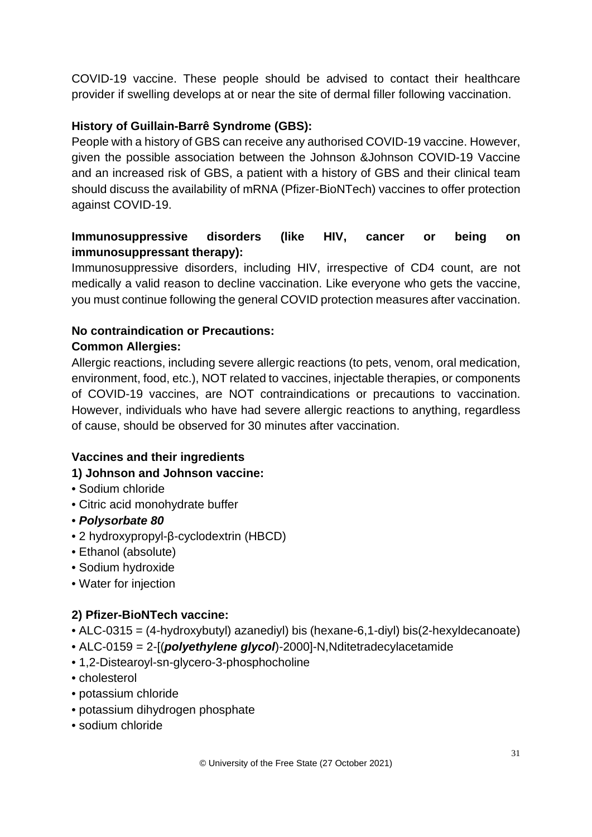COVID-19 vaccine. These people should be advised to contact their healthcare provider if swelling develops at or near the site of dermal filler following vaccination.

## **History of Guillain-Barrê Syndrome (GBS):**

People with a history of GBS can receive any authorised COVID-19 vaccine. However, given the possible association between the Johnson &Johnson COVID-19 Vaccine and an increased risk of GBS, a patient with a history of GBS and their clinical team should discuss the availability of mRNA (Pfizer-BioNTech) vaccines to offer protection against COVID-19.

## **Immunosuppressive disorders (like HIV, cancer or being on immunosuppressant therapy):**

Immunosuppressive disorders, including HIV, irrespective of CD4 count, are not medically a valid reason to decline vaccination. Like everyone who gets the vaccine, you must continue following the general COVID protection measures after vaccination.

## **No contraindication or Precautions:**

## **Common Allergies:**

Allergic reactions, including severe allergic reactions (to pets, venom, oral medication, environment, food, etc.), NOT related to vaccines, injectable therapies, or components of COVID-19 vaccines, are NOT contraindications or precautions to vaccination. However, individuals who have had severe allergic reactions to anything, regardless of cause, should be observed for 30 minutes after vaccination.

## **Vaccines and their ingredients**

## **1) Johnson and Johnson vaccine:**

- Sodium chloride
- Citric acid monohydrate buffer
- *Polysorbate 80*
- 2 hydroxypropyl-β-cyclodextrin (HBCD)
- Ethanol (absolute)
- Sodium hydroxide
- Water for injection

## **2) Pfizer-BioNTech vaccine:**

- ALC-0315 = (4-hydroxybutyl) azanediyl) bis (hexane-6,1-diyl) bis(2-hexyldecanoate)
- ALC-0159 = 2-[(*polyethylene glycol*)-2000]-N,Nditetradecylacetamide
- 1,2-Distearoyl-sn-glycero-3-phosphocholine
- cholesterol
- potassium chloride
- potassium dihydrogen phosphate
- sodium chloride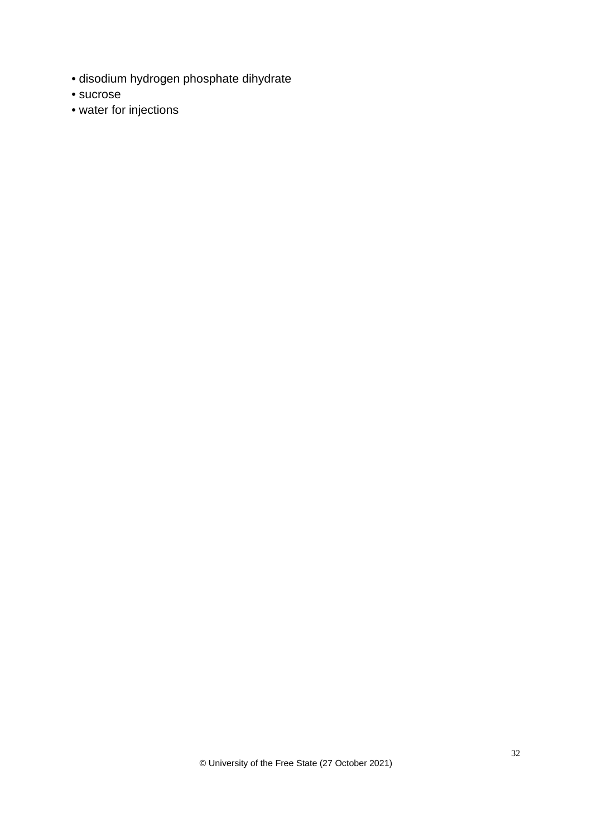- disodium hydrogen phosphate dihydrate
- sucrose
- water for injections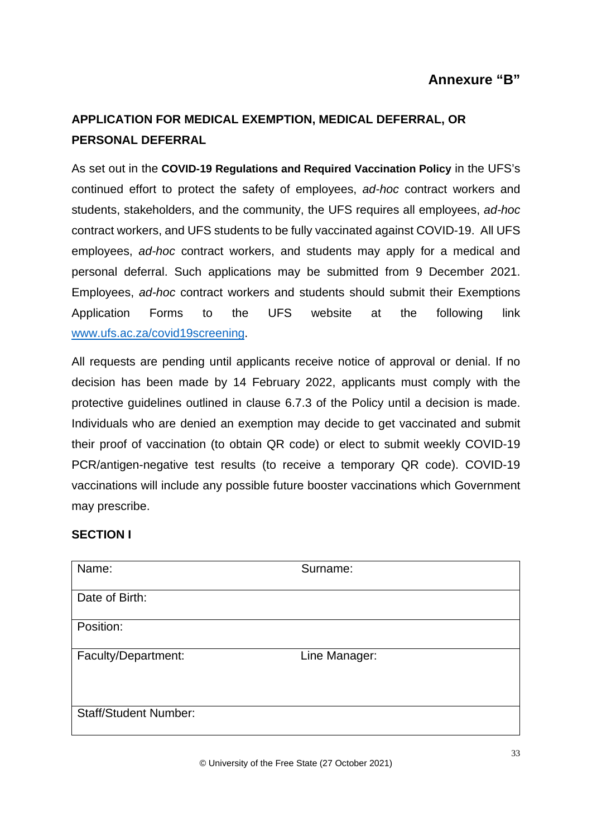# **Annexure "B"**

# **APPLICATION FOR MEDICAL EXEMPTION, MEDICAL DEFERRAL, OR PERSONAL DEFERRAL**

As set out in the **COVID-19 Regulations and Required Vaccination Policy** in the UFS's continued effort to protect the safety of employees, *ad-hoc* contract workers and students, stakeholders, and the community, the UFS requires all employees, *ad-hoc* contract workers, and UFS students to be fully vaccinated against COVID-19. All UFS employees, *ad-hoc* contract workers, and students may apply for a medical and personal deferral. Such applications may be submitted from 9 December 2021. Employees, *ad-hoc* contract workers and students should submit their Exemptions Application Forms to the UFS website at the following link [www.ufs.ac.za/covid19screening.](http://www.ufs.ac.za/covid19screening)

All requests are pending until applicants receive notice of approval or denial. If no decision has been made by 14 February 2022, applicants must comply with the protective guidelines outlined in clause 6.7.3 of the Policy until a decision is made. Individuals who are denied an exemption may decide to get vaccinated and submit their proof of vaccination (to obtain QR code) or elect to submit weekly COVID-19 PCR/antigen-negative test results (to receive a temporary QR code). COVID-19 vaccinations will include any possible future booster vaccinations which Government may prescribe.

### **SECTION I**

| Name:                        | Surname:      |
|------------------------------|---------------|
| Date of Birth:               |               |
| Position:                    |               |
| Faculty/Department:          | Line Manager: |
| <b>Staff/Student Number:</b> |               |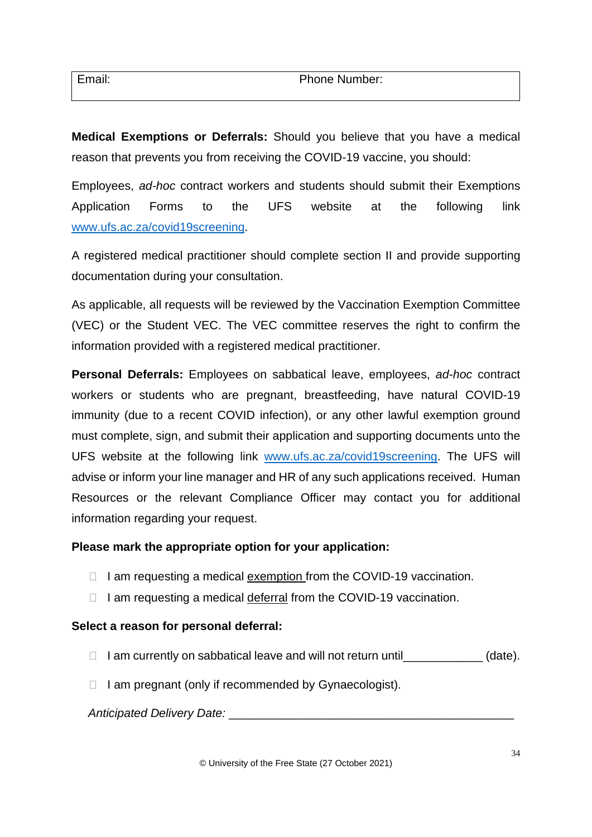Email: **Email:** Phone Number:

**Medical Exemptions or Deferrals:** Should you believe that you have a medical reason that prevents you from receiving the COVID-19 vaccine, you should:

Employees, *ad-hoc* contract workers and students should submit their Exemptions Application Forms to the UFS website at the following link [www.ufs.ac.za/covid19screening.](http://www.ufs.ac.za/covid19screening)

A registered medical practitioner should complete section II and provide supporting documentation during your consultation.

As applicable, all requests will be reviewed by the Vaccination Exemption Committee (VEC) or the Student VEC. The VEC committee reserves the right to confirm the information provided with a registered medical practitioner.

**Personal Deferrals:** Employees on sabbatical leave, employees, *ad-hoc* contract workers or students who are pregnant, breastfeeding, have natural COVID-19 immunity (due to a recent COVID infection), or any other lawful exemption ground must complete, sign, and submit their application and supporting documents unto the UFS website at the following link [www.ufs.ac.za/covid19screening.](http://www.ufs.ac.za/covid19screening) The UFS will advise or inform your line manager and HR of any such applications received. Human Resources or the relevant Compliance Officer may contact you for additional information regarding your request.

## **Please mark the appropriate option for your application:**

- $\Box$  I am requesting a medical exemption from the COVID-19 vaccination.
- $\Box$  I am requesting a medical deferral from the COVID-19 vaccination.

### **Select a reason for personal deferral:**

- $\Box$  I am currently on sabbatical leave and will not return until  $\Box$  (date).
- $\Box$  I am pregnant (only if recommended by Gynaecologist).

*Anticipated Delivery Date:* \_\_\_\_\_\_\_\_\_\_\_\_\_\_\_\_\_\_\_\_\_\_\_\_\_\_\_\_\_\_\_\_\_\_\_\_\_\_\_\_\_\_\_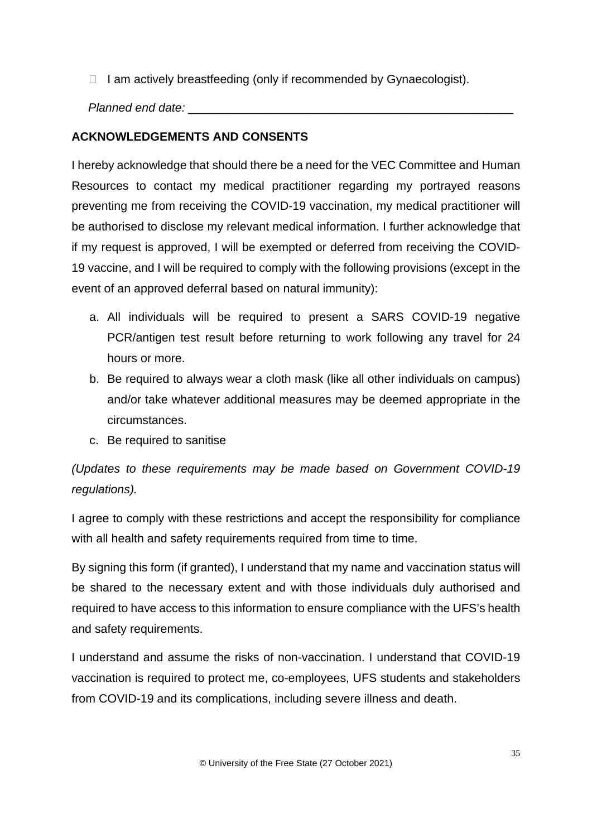$\Box$  I am actively breastfeeding (only if recommended by Gynaecologist).

*Planned end date:* \_\_\_\_\_\_\_\_\_\_\_\_\_\_\_\_\_\_\_\_\_\_\_\_\_\_\_\_\_\_\_\_\_\_\_\_\_\_\_\_\_\_\_\_\_\_\_\_\_

## **ACKNOWLEDGEMENTS AND CONSENTS**

I hereby acknowledge that should there be a need for the VEC Committee and Human Resources to contact my medical practitioner regarding my portrayed reasons preventing me from receiving the COVID-19 vaccination, my medical practitioner will be authorised to disclose my relevant medical information. I further acknowledge that if my request is approved, I will be exempted or deferred from receiving the COVID-19 vaccine, and I will be required to comply with the following provisions (except in the event of an approved deferral based on natural immunity):

- a. All individuals will be required to present a SARS COVID-19 negative PCR/antigen test result before returning to work following any travel for 24 hours or more.
- b. Be required to always wear a cloth mask (like all other individuals on campus) and/or take whatever additional measures may be deemed appropriate in the circumstances.
- c. Be required to sanitise

# *(Updates to these requirements may be made based on Government COVID-19 regulations).*

I agree to comply with these restrictions and accept the responsibility for compliance with all health and safety requirements required from time to time.

By signing this form (if granted), I understand that my name and vaccination status will be shared to the necessary extent and with those individuals duly authorised and required to have access to this information to ensure compliance with the UFS's health and safety requirements.

I understand and assume the risks of non-vaccination. I understand that COVID-19 vaccination is required to protect me, co-employees, UFS students and stakeholders from COVID-19 and its complications, including severe illness and death.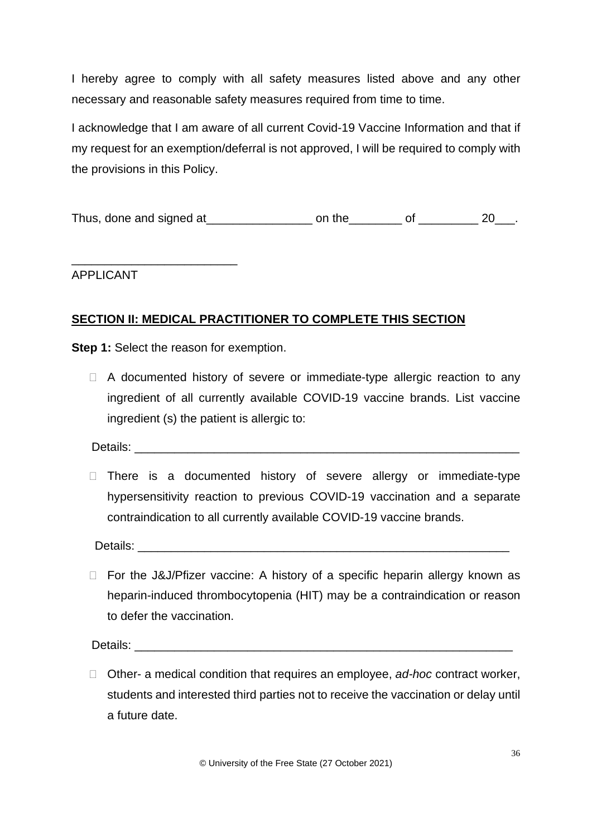I hereby agree to comply with all safety measures listed above and any other necessary and reasonable safety measures required from time to time.

I acknowledge that I am aware of all current Covid-19 Vaccine Information and that if my request for an exemption/deferral is not approved, I will be required to comply with the provisions in this Policy.

Thus, done and signed at \_\_\_\_\_\_\_\_\_\_\_\_\_\_\_\_\_\_\_ on the \_\_\_\_\_\_\_\_ of \_\_\_\_\_\_\_\_\_ 20\_\_\_.

APPLICANT

## **SECTION II: MEDICAL PRACTITIONER TO COMPLETE THIS SECTION**

**Step 1:** Select the reason for exemption.

\_\_\_\_\_\_\_\_\_\_\_\_\_\_\_\_\_\_\_\_\_\_\_\_\_

 $\Box$  A documented history of severe or immediate-type allergic reaction to any ingredient of all currently available COVID-19 vaccine brands. List vaccine ingredient (s) the patient is allergic to:

Details: \_\_\_\_\_\_\_\_\_\_\_\_\_\_\_\_\_\_\_\_\_\_\_\_\_\_\_\_\_\_\_\_\_\_\_\_\_\_\_\_\_\_\_\_\_\_\_\_\_\_\_\_\_\_\_\_\_\_

 $\Box$  There is a documented history of severe allergy or immediate-type hypersensitivity reaction to previous COVID-19 vaccination and a separate contraindication to all currently available COVID-19 vaccine brands.

Details:

 $\Box$  For the J&J/Pfizer vaccine: A history of a specific heparin allergy known as heparin-induced thrombocytopenia (HIT) may be a contraindication or reason to defer the vaccination.

Details: \_\_\_\_\_\_\_\_\_\_\_\_\_\_\_\_\_\_\_\_\_\_\_\_\_\_\_\_\_\_\_\_\_\_\_\_\_\_\_\_\_\_\_\_\_\_\_\_\_\_\_\_\_\_\_\_\_

□ Other- a medical condition that requires an employee, *ad-hoc* contract worker, students and interested third parties not to receive the vaccination or delay until a future date.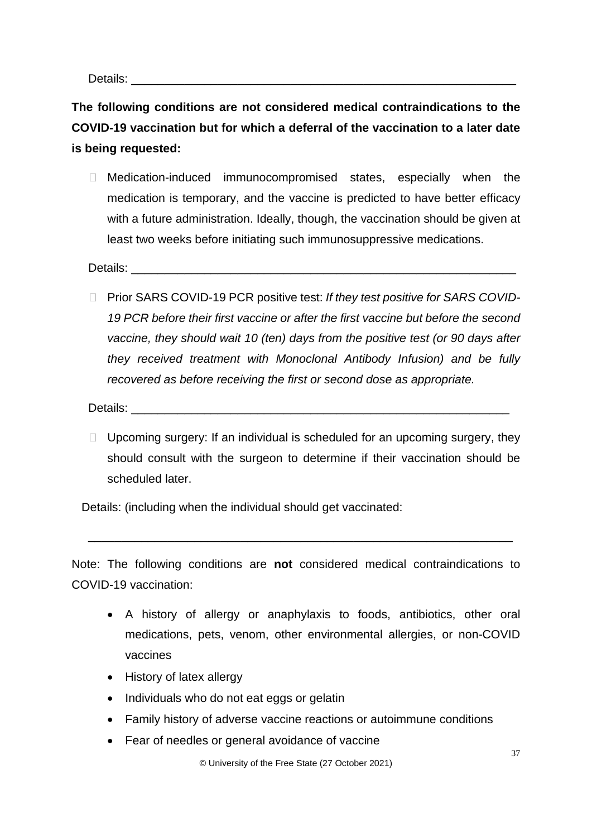Details:

**The following conditions are not considered medical contraindications to the COVID-19 vaccination but for which a deferral of the vaccination to a later date is being requested:**

□ Medication-induced immunocompromised states, especially when the medication is temporary, and the vaccine is predicted to have better efficacy with a future administration. Ideally, though, the vaccination should be given at least two weeks before initiating such immunosuppressive medications.

Details: \_\_\_\_\_\_\_\_\_\_\_\_\_\_\_\_\_\_\_\_\_\_\_\_\_\_\_\_\_\_\_\_\_\_\_\_\_\_\_\_\_\_\_\_\_\_\_\_\_\_\_\_\_\_\_\_\_\_

□ Prior SARS COVID-19 PCR positive test: *If they test positive for SARS COVID-19 PCR before their first vaccine or after the first vaccine but before the second vaccine, they should wait 10 (ten) days from the positive test (or 90 days after they received treatment with Monoclonal Antibody Infusion) and be fully recovered as before receiving the first or second dose as appropriate.*

Details:

 $\Box$  Upcoming surgery: If an individual is scheduled for an upcoming surgery, they should consult with the surgeon to determine if their vaccination should be scheduled later.

Details: (including when the individual should get vaccinated:

Note: The following conditions are **not** considered medical contraindications to COVID-19 vaccination:

\_\_\_\_\_\_\_\_\_\_\_\_\_\_\_\_\_\_\_\_\_\_\_\_\_\_\_\_\_\_\_\_\_\_\_\_\_\_\_\_\_\_\_\_\_\_\_\_\_\_\_\_\_\_\_\_\_\_\_\_\_\_\_\_

- A history of allergy or anaphylaxis to foods, antibiotics, other oral medications, pets, venom, other environmental allergies, or non-COVID vaccines
- History of latex allergy
- Individuals who do not eat eggs or gelatin
- Family history of adverse vaccine reactions or autoimmune conditions
- Fear of needles or general avoidance of vaccine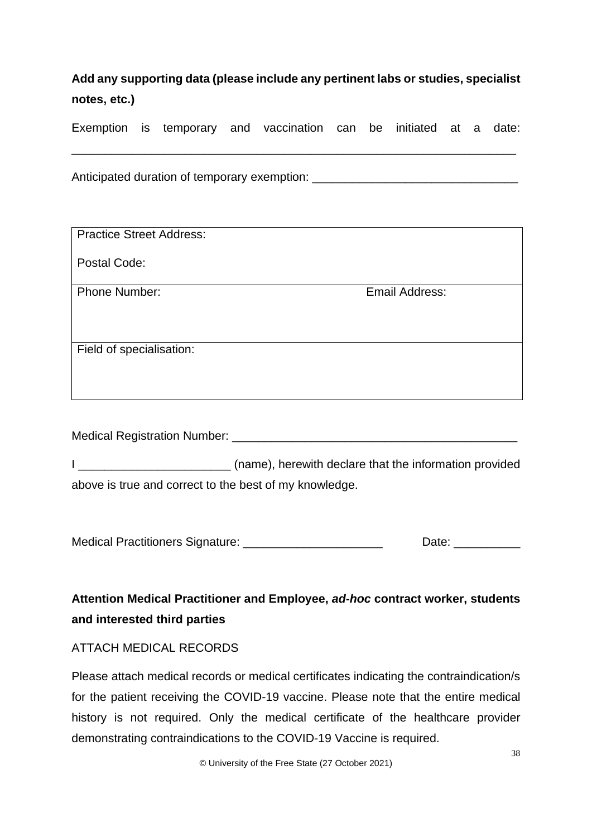# **Add any supporting data (please include any pertinent labs or studies, specialist notes, etc.)**

|  |  | Exemption is temporary and vaccination can be initiated at a date: |  |  |  |
|--|--|--------------------------------------------------------------------|--|--|--|
|  |  |                                                                    |  |  |  |

\_\_\_\_\_\_\_\_\_\_\_\_\_\_\_\_\_\_\_\_\_\_\_\_\_\_\_\_\_\_\_\_\_\_\_\_\_\_\_\_\_\_\_\_\_\_\_\_\_\_\_\_\_\_\_\_\_\_\_\_\_\_\_\_\_\_\_

Anticipated duration of temporary exemption: \_\_\_\_\_\_\_\_\_\_\_\_\_\_\_\_\_\_\_\_\_\_\_\_\_\_\_\_\_\_\_\_\_\_\_

| <b>Practice Street Address:</b> |                       |
|---------------------------------|-----------------------|
| Postal Code:                    |                       |
| <b>Phone Number:</b>            | <b>Email Address:</b> |
| Field of specialisation:        |                       |

I \_\_\_\_\_\_\_\_\_\_\_\_\_\_\_\_\_\_\_\_\_\_\_\_\_\_\_\_ (name), herewith declare that the information provided above is true and correct to the best of my knowledge.

Medical Registration Number: \_\_\_\_\_\_\_\_\_\_\_\_\_\_\_\_\_\_\_\_\_\_\_\_\_\_\_\_\_\_\_\_\_\_\_\_\_\_\_\_\_\_\_

Medical Practitioners Signature: \_\_\_\_\_\_\_\_\_\_\_\_\_\_\_\_\_\_\_\_\_\_\_\_\_\_\_\_\_\_ Date: \_\_\_\_\_\_\_\_\_\_

# **Attention Medical Practitioner and Employee,** *ad-hoc* **contract worker, students and interested third parties**

ATTACH MEDICAL RECORDS

Please attach medical records or medical certificates indicating the contraindication/s for the patient receiving the COVID-19 vaccine. Please note that the entire medical history is not required. Only the medical certificate of the healthcare provider demonstrating contraindications to the COVID-19 Vaccine is required.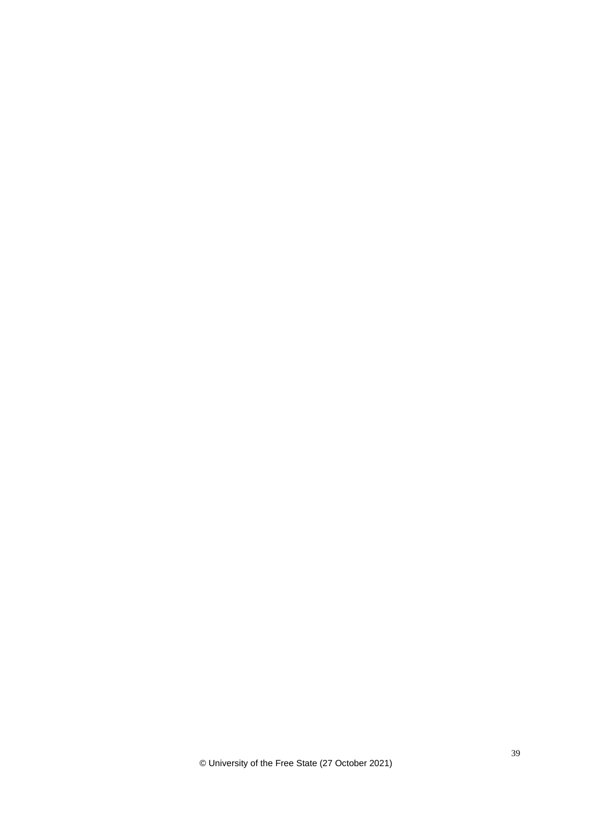© University of the Free State (27 October 2021)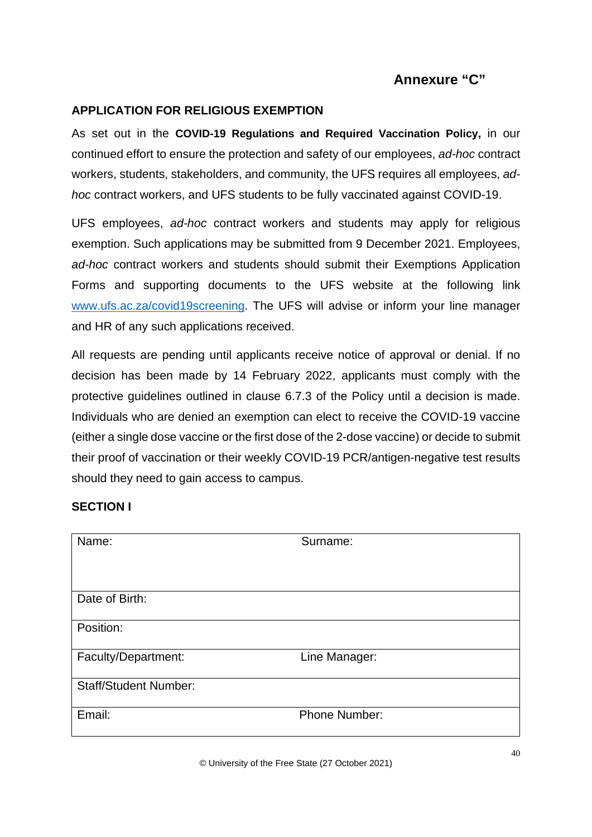# **Annexure "C"**

## **APPLICATION FOR RELIGIOUS EXEMPTION**

As set out in the **COVID-19 Regulations and Required Vaccination Policy,** in our continued effort to ensure the protection and safety of our employees, *ad-hoc* contract workers, students, stakeholders, and community, the UFS requires all employees, *adhoc* contract workers, and UFS students to be fully vaccinated against COVID-19.

UFS employees, *ad-hoc* contract workers and students may apply for religious exemption. Such applications may be submitted from 9 December 2021. Employees, *ad-hoc* contract workers and students should submit their Exemptions Application Forms and supporting documents to the UFS website at the following link [www.ufs.ac.za/covid19screening.](http://www.ufs.ac.za/covid19screening) The UFS will advise or inform your line manager and HR of any such applications received.

All requests are pending until applicants receive notice of approval or denial. If no decision has been made by 14 February 2022, applicants must comply with the protective guidelines outlined in clause 6.7.3 of the Policy until a decision is made. Individuals who are denied an exemption can elect to receive the COVID-19 vaccine (either a single dose vaccine or the first dose of the 2-dose vaccine) or decide to submit their proof of vaccination or their weekly COVID-19 PCR/antigen-negative test results should they need to gain access to campus.

### **SECTION I**

| Name:                        | Surname:             |
|------------------------------|----------------------|
|                              |                      |
|                              |                      |
|                              |                      |
|                              |                      |
| Date of Birth:               |                      |
|                              |                      |
| Position:                    |                      |
|                              |                      |
| Faculty/Department:          | Line Manager:        |
|                              |                      |
| <b>Staff/Student Number:</b> |                      |
|                              |                      |
|                              |                      |
| Email:                       | <b>Phone Number:</b> |
|                              |                      |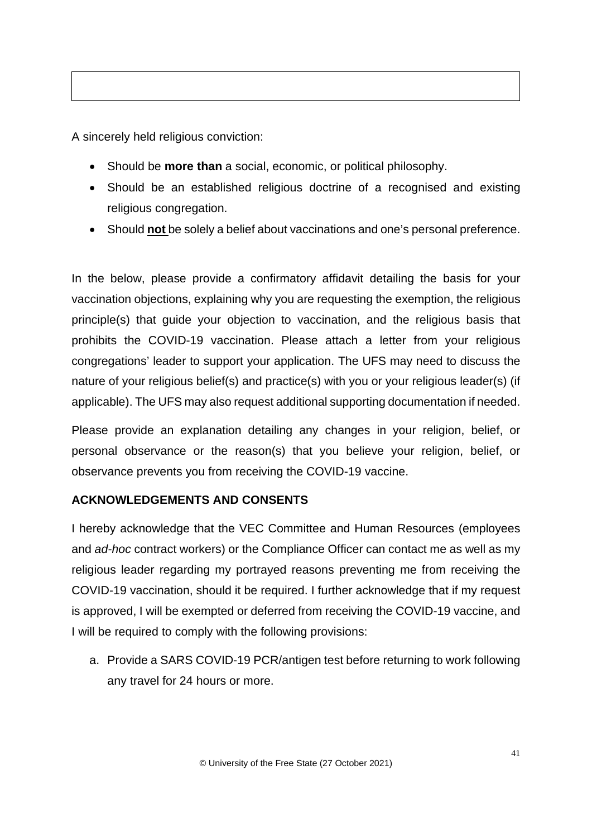A sincerely held religious conviction:

- Should be **more than** a social, economic, or political philosophy.
- Should be an established religious doctrine of a recognised and existing religious congregation.
- Should **not** be solely a belief about vaccinations and one's personal preference.

In the below, please provide a confirmatory affidavit detailing the basis for your vaccination objections, explaining why you are requesting the exemption, the religious principle(s) that guide your objection to vaccination, and the religious basis that prohibits the COVID-19 vaccination. Please attach a letter from your religious congregations' leader to support your application. The UFS may need to discuss the nature of your religious belief(s) and practice(s) with you or your religious leader(s) (if applicable). The UFS may also request additional supporting documentation if needed.

Please provide an explanation detailing any changes in your religion, belief, or personal observance or the reason(s) that you believe your religion, belief, or observance prevents you from receiving the COVID-19 vaccine.

# **ACKNOWLEDGEMENTS AND CONSENTS**

I hereby acknowledge that the VEC Committee and Human Resources (employees and *ad-hoc* contract workers) or the Compliance Officer can contact me as well as my religious leader regarding my portrayed reasons preventing me from receiving the COVID-19 vaccination, should it be required. I further acknowledge that if my request is approved, I will be exempted or deferred from receiving the COVID-19 vaccine, and I will be required to comply with the following provisions:

a. Provide a SARS COVID-19 PCR/antigen test before returning to work following any travel for 24 hours or more.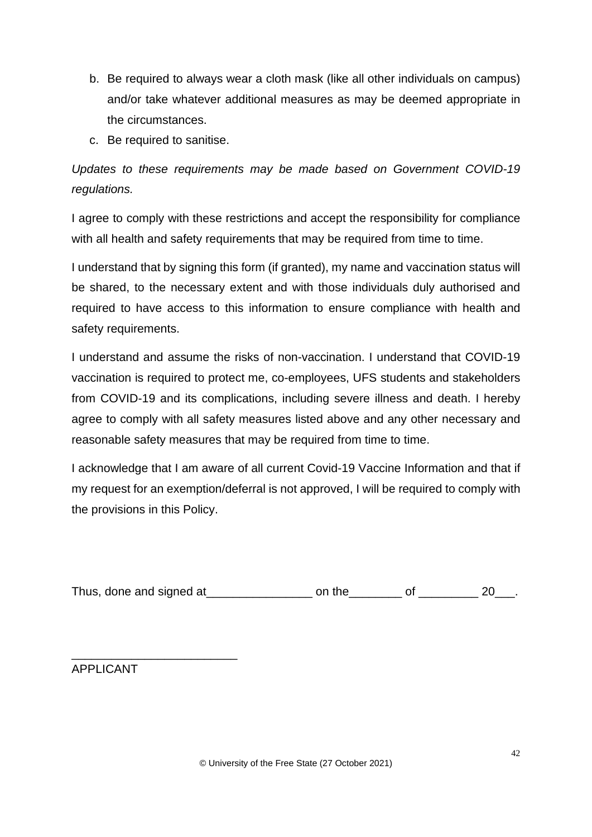- b. Be required to always wear a cloth mask (like all other individuals on campus) and/or take whatever additional measures as may be deemed appropriate in the circumstances.
- c. Be required to sanitise.

*Updates to these requirements may be made based on Government COVID-19 regulations.* 

I agree to comply with these restrictions and accept the responsibility for compliance with all health and safety requirements that may be required from time to time.

I understand that by signing this form (if granted), my name and vaccination status will be shared, to the necessary extent and with those individuals duly authorised and required to have access to this information to ensure compliance with health and safety requirements.

I understand and assume the risks of non-vaccination. I understand that COVID-19 vaccination is required to protect me, co-employees, UFS students and stakeholders from COVID-19 and its complications, including severe illness and death. I hereby agree to comply with all safety measures listed above and any other necessary and reasonable safety measures that may be required from time to time.

I acknowledge that I am aware of all current Covid-19 Vaccine Information and that if my request for an exemption/deferral is not approved, I will be required to comply with the provisions in this Policy.

Thus, done and signed at \_\_\_\_\_\_\_\_\_\_\_\_\_\_\_\_\_\_\_ on the \_\_\_\_\_\_\_\_ of \_\_\_\_\_\_\_\_\_ 20\_\_\_.

APPLICANT

\_\_\_\_\_\_\_\_\_\_\_\_\_\_\_\_\_\_\_\_\_\_\_\_\_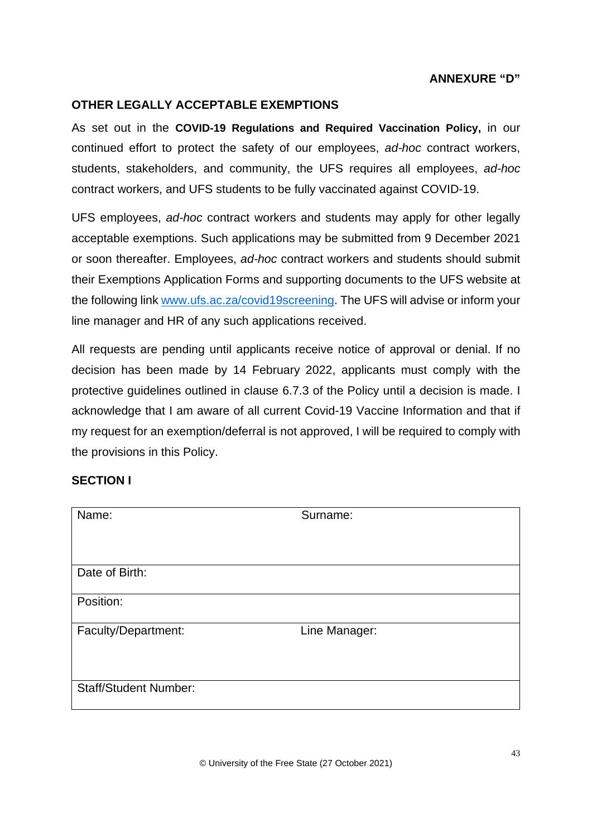**ANNEXURE "D"**

## **OTHER LEGALLY ACCEPTABLE EXEMPTIONS**

As set out in the **COVID-19 Regulations and Required Vaccination Policy,** in our continued effort to protect the safety of our employees, *ad-hoc* contract workers, students, stakeholders, and community, the UFS requires all employees, *ad-hoc* contract workers, and UFS students to be fully vaccinated against COVID-19.

UFS employees, *ad-hoc* contract workers and students may apply for other legally acceptable exemptions. Such applications may be submitted from 9 December 2021 or soon thereafter. Employees, *ad-hoc* contract workers and students should submit their Exemptions Application Forms and supporting documents to the UFS website at the following link [www.ufs.ac.za/covid19screening.](http://www.ufs.ac.za/covid19screening) The UFS will advise or inform your line manager and HR of any such applications received.

All requests are pending until applicants receive notice of approval or denial. If no decision has been made by 14 February 2022, applicants must comply with the protective guidelines outlined in clause 6.7.3 of the Policy until a decision is made. I acknowledge that I am aware of all current Covid-19 Vaccine Information and that if my request for an exemption/deferral is not approved, I will be required to comply with the provisions in this Policy.

### **SECTION I**

| Name:                        | Surname:      |
|------------------------------|---------------|
|                              |               |
|                              |               |
|                              |               |
|                              |               |
|                              |               |
|                              |               |
| Date of Birth:               |               |
|                              |               |
|                              |               |
|                              |               |
| Position:                    |               |
|                              |               |
|                              |               |
| Faculty/Department:          | Line Manager: |
|                              |               |
|                              |               |
|                              |               |
|                              |               |
|                              |               |
|                              |               |
| <b>Staff/Student Number:</b> |               |
|                              |               |
|                              |               |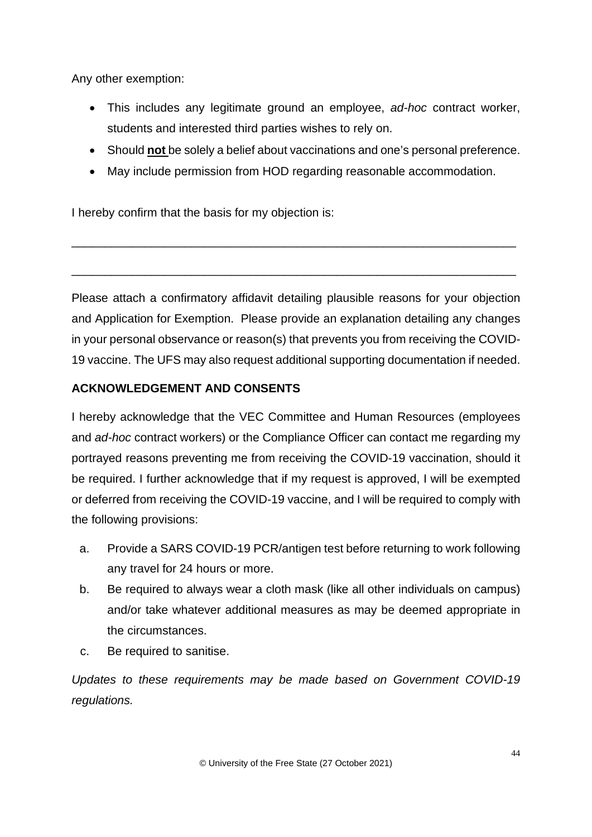Any other exemption:

- This includes any legitimate ground an employee, *ad-hoc* contract worker, students and interested third parties wishes to rely on.
- Should **not** be solely a belief about vaccinations and one's personal preference.
- May include permission from HOD regarding reasonable accommodation.

\_\_\_\_\_\_\_\_\_\_\_\_\_\_\_\_\_\_\_\_\_\_\_\_\_\_\_\_\_\_\_\_\_\_\_\_\_\_\_\_\_\_\_\_\_\_\_\_\_\_\_\_\_\_\_\_\_\_\_\_\_\_\_\_\_\_\_

\_\_\_\_\_\_\_\_\_\_\_\_\_\_\_\_\_\_\_\_\_\_\_\_\_\_\_\_\_\_\_\_\_\_\_\_\_\_\_\_\_\_\_\_\_\_\_\_\_\_\_\_\_\_\_\_\_\_\_\_\_\_\_\_\_\_\_

I hereby confirm that the basis for my objection is:

Please attach a confirmatory affidavit detailing plausible reasons for your objection and Application for Exemption. Please provide an explanation detailing any changes in your personal observance or reason(s) that prevents you from receiving the COVID-19 vaccine. The UFS may also request additional supporting documentation if needed.

# **ACKNOWLEDGEMENT AND CONSENTS**

I hereby acknowledge that the VEC Committee and Human Resources (employees and *ad-hoc* contract workers) or the Compliance Officer can contact me regarding my portrayed reasons preventing me from receiving the COVID-19 vaccination, should it be required. I further acknowledge that if my request is approved, I will be exempted or deferred from receiving the COVID-19 vaccine, and I will be required to comply with the following provisions:

- a. Provide a SARS COVID-19 PCR/antigen test before returning to work following any travel for 24 hours or more.
- b. Be required to always wear a cloth mask (like all other individuals on campus) and/or take whatever additional measures as may be deemed appropriate in the circumstances.
- c. Be required to sanitise.

*Updates to these requirements may be made based on Government COVID-19 regulations.*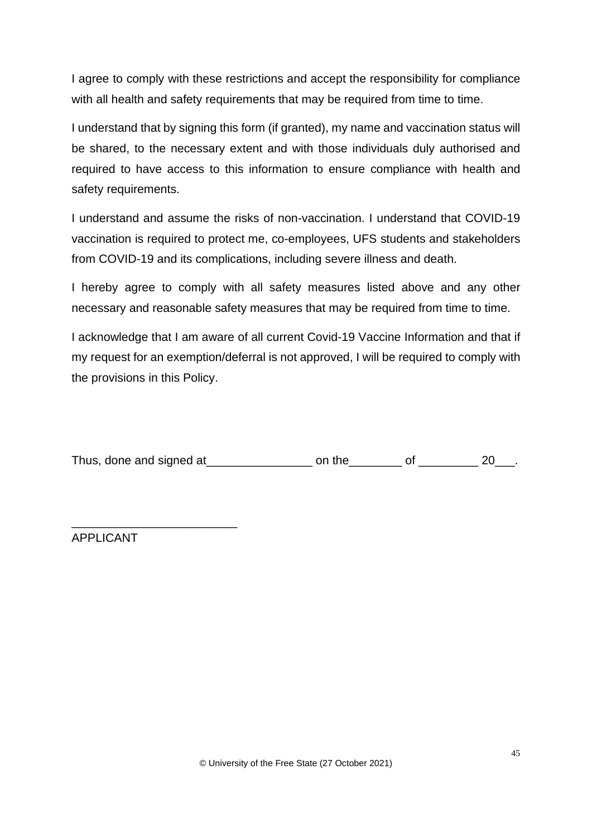I agree to comply with these restrictions and accept the responsibility for compliance with all health and safety requirements that may be required from time to time.

I understand that by signing this form (if granted), my name and vaccination status will be shared, to the necessary extent and with those individuals duly authorised and required to have access to this information to ensure compliance with health and safety requirements.

I understand and assume the risks of non-vaccination. I understand that COVID-19 vaccination is required to protect me, co-employees, UFS students and stakeholders from COVID-19 and its complications, including severe illness and death.

I hereby agree to comply with all safety measures listed above and any other necessary and reasonable safety measures that may be required from time to time.

I acknowledge that I am aware of all current Covid-19 Vaccine Information and that if my request for an exemption/deferral is not approved, I will be required to comply with the provisions in this Policy.

| Thus, done and signed at | on the |  |  |  |
|--------------------------|--------|--|--|--|
|--------------------------|--------|--|--|--|

APPLICANT

\_\_\_\_\_\_\_\_\_\_\_\_\_\_\_\_\_\_\_\_\_\_\_\_\_